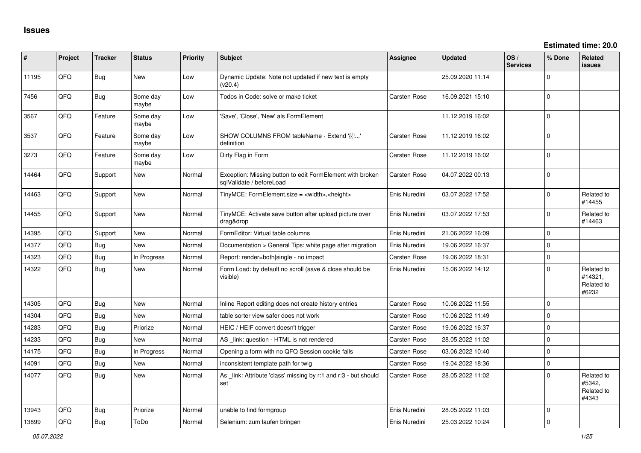| #     | Project | <b>Tracker</b> | <b>Status</b>     | Priority | <b>Subject</b>                                                                        | <b>Assignee</b>     | <b>Updated</b>   | OS/<br><b>Services</b> | % Done       | Related<br><b>issues</b>                     |
|-------|---------|----------------|-------------------|----------|---------------------------------------------------------------------------------------|---------------------|------------------|------------------------|--------------|----------------------------------------------|
| 11195 | QFQ     | <b>Bug</b>     | <b>New</b>        | Low      | Dynamic Update: Note not updated if new text is empty<br>(v20.4)                      |                     | 25.09.2020 11:14 |                        | 0            |                                              |
| 7456  | QFQ     | Bug            | Some day<br>maybe | Low      | Todos in Code: solve or make ticket                                                   | Carsten Rose        | 16.09.2021 15:10 |                        | 0            |                                              |
| 3567  | QFQ     | Feature        | Some day<br>maybe | Low      | 'Save', 'Close', 'New' als FormElement                                                |                     | 11.12.2019 16:02 |                        | $\mathbf 0$  |                                              |
| 3537  | QFQ     | Feature        | Some day<br>maybe | Low      | SHOW COLUMNS FROM tableName - Extend '{{!'<br>definition                              | Carsten Rose        | 11.12.2019 16:02 |                        | $\mathbf 0$  |                                              |
| 3273  | QFQ     | Feature        | Some day<br>maybe | Low      | Dirty Flag in Form                                                                    | Carsten Rose        | 11.12.2019 16:02 |                        | $\mathbf{0}$ |                                              |
| 14464 | QFQ     | Support        | <b>New</b>        | Normal   | Exception: Missing button to edit FormElement with broken<br>salValidate / beforeLoad | <b>Carsten Rose</b> | 04.07.2022 00:13 |                        | $\mathbf{0}$ |                                              |
| 14463 | QFQ     | Support        | New               | Normal   | TinyMCE: FormElement.size = <width>,<height></height></width>                         | Enis Nuredini       | 03.07.2022 17:52 |                        | 0            | Related to<br>#14455                         |
| 14455 | QFQ     | Support        | New               | Normal   | TinyMCE: Activate save button after upload picture over<br>drag&drop                  | Enis Nuredini       | 03.07.2022 17:53 |                        | $\Omega$     | Related to<br>#14463                         |
| 14395 | QFQ     | Support        | New               | Normal   | FormEditor: Virtual table columns                                                     | Enis Nuredini       | 21.06.2022 16:09 |                        | $\mathbf 0$  |                                              |
| 14377 | QFQ     | Bug            | <b>New</b>        | Normal   | Documentation > General Tips: white page after migration                              | Enis Nuredini       | 19.06.2022 16:37 |                        | 0            |                                              |
| 14323 | QFQ     | Bug            | In Progress       | Normal   | Report: render=both single - no impact                                                | Carsten Rose        | 19.06.2022 18:31 |                        | 0            |                                              |
| 14322 | QFQ     | <b>Bug</b>     | New               | Normal   | Form Load: by default no scroll (save & close should be<br>visible)                   | Enis Nuredini       | 15.06.2022 14:12 |                        | 0            | Related to<br>#14321,<br>Related to<br>#6232 |
| 14305 | QFQ     | <b>Bug</b>     | <b>New</b>        | Normal   | Inline Report editing does not create history entries                                 | Carsten Rose        | 10.06.2022 11:55 |                        | $\mathbf 0$  |                                              |
| 14304 | QFQ     | Bug            | <b>New</b>        | Normal   | table sorter view safer does not work                                                 | <b>Carsten Rose</b> | 10.06.2022 11:49 |                        | $\mathbf{0}$ |                                              |
| 14283 | QFQ     | Bug            | Priorize          | Normal   | HEIC / HEIF convert doesn't trigger                                                   | Carsten Rose        | 19.06.2022 16:37 |                        | 0            |                                              |
| 14233 | QFQ     | Bug            | <b>New</b>        | Normal   | AS _link: question - HTML is not rendered                                             | <b>Carsten Rose</b> | 28.05.2022 11:02 |                        | $\mathbf{0}$ |                                              |
| 14175 | QFQ     | Bug            | In Progress       | Normal   | Opening a form with no QFQ Session cookie fails                                       | Carsten Rose        | 03.06.2022 10:40 |                        | $\mathbf 0$  |                                              |
| 14091 | QFQ     | Bug            | New               | Normal   | inconsistent template path for twig                                                   | <b>Carsten Rose</b> | 19.04.2022 18:36 |                        | $\mathbf 0$  |                                              |
| 14077 | QFQ     | Bug            | <b>New</b>        | Normal   | As _link: Attribute 'class' missing by r:1 and r:3 - but should<br>set                | Carsten Rose        | 28.05.2022 11:02 |                        | $\Omega$     | Related to<br>#5342,<br>Related to<br>#4343  |
| 13943 | QFQ     | Bug            | Priorize          | Normal   | unable to find formgroup                                                              | Enis Nuredini       | 28.05.2022 11:03 |                        | 0            |                                              |
| 13899 | QFQ     | <b>Bug</b>     | ToDo              | Normal   | Selenium: zum laufen bringen                                                          | Enis Nuredini       | 25.03.2022 10:24 |                        | 0            |                                              |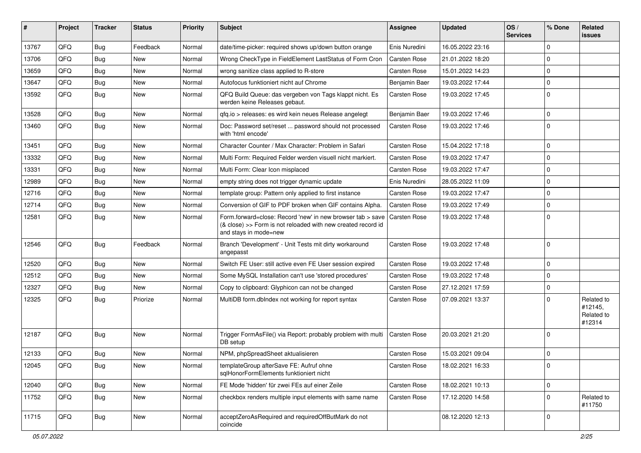| #     | Project | <b>Tracker</b> | <b>Status</b> | <b>Priority</b> | Subject                                                                                                                                             | <b>Assignee</b>     | <b>Updated</b>   | OS/<br><b>Services</b> | % Done              | <b>Related</b><br><b>issues</b>               |
|-------|---------|----------------|---------------|-----------------|-----------------------------------------------------------------------------------------------------------------------------------------------------|---------------------|------------------|------------------------|---------------------|-----------------------------------------------|
| 13767 | QFQ     | <b>Bug</b>     | Feedback      | Normal          | date/time-picker: required shows up/down button orange                                                                                              | Enis Nuredini       | 16.05.2022 23:16 |                        | 0                   |                                               |
| 13706 | QFQ     | <b>Bug</b>     | New           | Normal          | Wrong CheckType in FieldElement LastStatus of Form Cron                                                                                             | <b>Carsten Rose</b> | 21.01.2022 18:20 |                        | 0                   |                                               |
| 13659 | QFQ     | <b>Bug</b>     | <b>New</b>    | Normal          | wrong sanitize class applied to R-store                                                                                                             | <b>Carsten Rose</b> | 15.01.2022 14:23 |                        | $\mathbf 0$         |                                               |
| 13647 | QFQ     | Bug            | <b>New</b>    | Normal          | Autofocus funktioniert nicht auf Chrome                                                                                                             | Benjamin Baer       | 19.03.2022 17:44 |                        | 0                   |                                               |
| 13592 | QFQ     | Bug            | New           | Normal          | QFQ Build Queue: das vergeben von Tags klappt nicht. Es<br>werden keine Releases gebaut.                                                            | Carsten Rose        | 19.03.2022 17:45 |                        | 0                   |                                               |
| 13528 | QFQ     | <b>Bug</b>     | <b>New</b>    | Normal          | qfq.io > releases: es wird kein neues Release angelegt                                                                                              | Benjamin Baer       | 19.03.2022 17:46 |                        | 0                   |                                               |
| 13460 | QFQ     | Bug            | New           | Normal          | Doc: Password set/reset  password should not processed<br>with 'html encode'                                                                        | Carsten Rose        | 19.03.2022 17:46 |                        | 0                   |                                               |
| 13451 | QFQ     | Bug            | <b>New</b>    | Normal          | Character Counter / Max Character: Problem in Safari                                                                                                | <b>Carsten Rose</b> | 15.04.2022 17:18 |                        | $\mathbf 0$         |                                               |
| 13332 | QFQ     | <b>Bug</b>     | <b>New</b>    | Normal          | Multi Form: Required Felder werden visuell nicht markiert.                                                                                          | <b>Carsten Rose</b> | 19.03.2022 17:47 |                        | 0                   |                                               |
| 13331 | QFQ     | Bug            | <b>New</b>    | Normal          | Multi Form: Clear Icon misplaced                                                                                                                    | <b>Carsten Rose</b> | 19.03.2022 17:47 |                        | 0                   |                                               |
| 12989 | QFQ     | Bug            | New           | Normal          | empty string does not trigger dynamic update                                                                                                        | Enis Nuredini       | 28.05.2022 11:09 |                        | 0                   |                                               |
| 12716 | QFQ     | Bug            | New           | Normal          | template group: Pattern only applied to first instance                                                                                              | Carsten Rose        | 19.03.2022 17:47 |                        | 0                   |                                               |
| 12714 | QFQ     | <b>Bug</b>     | <b>New</b>    | Normal          | Conversion of GIF to PDF broken when GIF contains Alpha.                                                                                            | <b>Carsten Rose</b> | 19.03.2022 17:49 |                        | 0                   |                                               |
| 12581 | QFQ     | Bug            | <b>New</b>    | Normal          | Form.forward=close: Record 'new' in new browser tab > save<br>(& close) >> Form is not reloaded with new created record id<br>and stays in mode=new | Carsten Rose        | 19.03.2022 17:48 |                        | 0                   |                                               |
| 12546 | QFQ     | Bug            | Feedback      | Normal          | Branch 'Development' - Unit Tests mit dirty workaround<br>angepasst                                                                                 | <b>Carsten Rose</b> | 19.03.2022 17:48 |                        | $\Omega$            |                                               |
| 12520 | QFQ     | Bug            | <b>New</b>    | Normal          | Switch FE User: still active even FE User session expired                                                                                           | <b>Carsten Rose</b> | 19.03.2022 17:48 |                        | 0                   |                                               |
| 12512 | QFQ     | <b>Bug</b>     | New           | Normal          | Some MySQL Installation can't use 'stored procedures'                                                                                               | Carsten Rose        | 19.03.2022 17:48 |                        | 0                   |                                               |
| 12327 | QFQ     | Bug            | New           | Normal          | Copy to clipboard: Glyphicon can not be changed                                                                                                     | <b>Carsten Rose</b> | 27.12.2021 17:59 |                        | 0                   |                                               |
| 12325 | QFQ     | Bug            | Priorize      | Normal          | MultiDB form.dblndex not working for report syntax                                                                                                  | Carsten Rose        | 07.09.2021 13:37 |                        | 0                   | Related to<br>#12145,<br>Related to<br>#12314 |
| 12187 | QFQ     | <b>Bug</b>     | <b>New</b>    | Normal          | Trigger FormAsFile() via Report: probably problem with multi<br>DB setup                                                                            | Carsten Rose        | 20.03.2021 21:20 |                        | 0                   |                                               |
| 12133 | QFQ     | Bug            | <b>New</b>    | Normal          | NPM, phpSpreadSheet aktualisieren                                                                                                                   | <b>Carsten Rose</b> | 15.03.2021 09:04 |                        | 0                   |                                               |
| 12045 | QFQ     | Bug            | New           | Normal          | templateGroup afterSave FE: Aufruf ohne<br>salHonorFormElements funktioniert nicht                                                                  | Carsten Rose        | 18.02.2021 16:33 |                        | 0                   |                                               |
| 12040 | QFQ     | <b>Bug</b>     | New           | Normal          | FE Mode 'hidden' für zwei FEs auf einer Zeile                                                                                                       | Carsten Rose        | 18.02.2021 10:13 |                        | $\mathsf{O}\xspace$ |                                               |
| 11752 | QFQ     | <b>Bug</b>     | New           | Normal          | checkbox renders multiple input elements with same name                                                                                             | Carsten Rose        | 17.12.2020 14:58 |                        | 0                   | Related to<br>#11750                          |
| 11715 | QFQ     | Bug            | New           | Normal          | acceptZeroAsRequired and requiredOffButMark do not<br>coincide                                                                                      |                     | 08.12.2020 12:13 |                        | $\mathbf 0$         |                                               |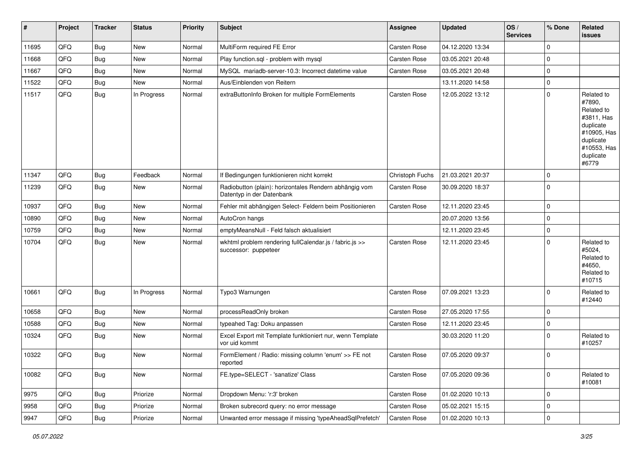| #     | Project | <b>Tracker</b> | <b>Status</b> | <b>Priority</b> | Subject                                                                             | Assignee            | <b>Updated</b>   | OS/<br><b>Services</b> | % Done         | Related<br>issues                                                                                                              |
|-------|---------|----------------|---------------|-----------------|-------------------------------------------------------------------------------------|---------------------|------------------|------------------------|----------------|--------------------------------------------------------------------------------------------------------------------------------|
| 11695 | QFQ     | Bug            | New           | Normal          | MultiForm required FE Error                                                         | Carsten Rose        | 04.12.2020 13:34 |                        | $\mathbf 0$    |                                                                                                                                |
| 11668 | QFQ     | Bug            | New           | Normal          | Play function.sql - problem with mysql                                              | <b>Carsten Rose</b> | 03.05.2021 20:48 |                        | $\mathbf 0$    |                                                                                                                                |
| 11667 | QFQ     | Bug            | New           | Normal          | MySQL mariadb-server-10.3: Incorrect datetime value                                 | Carsten Rose        | 03.05.2021 20:48 |                        | 0              |                                                                                                                                |
| 11522 | QFQ     | Bug            | New           | Normal          | Aus/Einblenden von Reitern                                                          |                     | 13.11.2020 14:58 |                        | $\mathbf 0$    |                                                                                                                                |
| 11517 | QFQ     | <b>Bug</b>     | In Progress   | Normal          | extraButtonInfo Broken for multiple FormElements                                    | <b>Carsten Rose</b> | 12.05.2022 13:12 |                        | $\mathbf 0$    | Related to<br>#7890,<br>Related to<br>#3811, Has<br>duplicate<br>#10905, Has<br>duplicate<br>#10553, Has<br>duplicate<br>#6779 |
| 11347 | QFQ     | Bug            | Feedback      | Normal          | If Bedingungen funktionieren nicht korrekt                                          | Christoph Fuchs     | 21.03.2021 20:37 |                        | $\mathbf 0$    |                                                                                                                                |
| 11239 | QFQ     | Bug            | New           | Normal          | Radiobutton (plain): horizontales Rendern abhängig vom<br>Datentyp in der Datenbank | <b>Carsten Rose</b> | 30.09.2020 18:37 |                        | 0              |                                                                                                                                |
| 10937 | QFQ     | Bug            | New           | Normal          | Fehler mit abhängigen Select- Feldern beim Positionieren                            | <b>Carsten Rose</b> | 12.11.2020 23:45 |                        | $\overline{0}$ |                                                                                                                                |
| 10890 | QFQ     | Bug            | New           | Normal          | AutoCron hangs                                                                      |                     | 20.07.2020 13:56 |                        | $\mathbf 0$    |                                                                                                                                |
| 10759 | QFQ     | Bug            | <b>New</b>    | Normal          | emptyMeansNull - Feld falsch aktualisiert                                           |                     | 12.11.2020 23:45 |                        | $\overline{0}$ |                                                                                                                                |
| 10704 | QFQ     | Bug            | New           | Normal          | wkhtml problem rendering fullCalendar.js / fabric.js >><br>successor: puppeteer     | <b>Carsten Rose</b> | 12.11.2020 23:45 |                        | $\mathbf 0$    | Related to<br>#5024,<br>Related to<br>#4650,<br>Related to<br>#10715                                                           |
| 10661 | QFQ     | <b>Bug</b>     | In Progress   | Normal          | Typo3 Warnungen                                                                     | Carsten Rose        | 07.09.2021 13:23 |                        | 0              | Related to<br>#12440                                                                                                           |
| 10658 | QFQ     | Bug            | New           | Normal          | processReadOnly broken                                                              | <b>Carsten Rose</b> | 27.05.2020 17:55 |                        | $\mathbf 0$    |                                                                                                                                |
| 10588 | QFQ     | Bug            | New           | Normal          | typeahed Tag: Doku anpassen                                                         | Carsten Rose        | 12.11.2020 23:45 |                        | $\mathbf 0$    |                                                                                                                                |
| 10324 | QFQ     | <b>Bug</b>     | New           | Normal          | Excel Export mit Template funktioniert nur, wenn Template<br>vor uid kommt          |                     | 30.03.2020 11:20 |                        | $\mathbf 0$    | Related to<br>#10257                                                                                                           |
| 10322 | QFQ     | Bug            | New           | Normal          | FormElement / Radio: missing column 'enum' >> FE not<br>reported                    | <b>Carsten Rose</b> | 07.05.2020 09:37 |                        | $\mathbf 0$    |                                                                                                                                |
| 10082 | QFQ     | <b>Bug</b>     | New           | Normal          | FE.type=SELECT - 'sanatize' Class                                                   | Carsten Rose        | 07.05.2020 09:36 |                        | $\mathbf 0$    | Related to<br>#10081                                                                                                           |
| 9975  | QFQ     | Bug            | Priorize      | Normal          | Dropdown Menu: 'r:3' broken                                                         | Carsten Rose        | 01.02.2020 10:13 |                        | $\overline{0}$ |                                                                                                                                |
| 9958  | QFQ     | <b>Bug</b>     | Priorize      | Normal          | Broken subrecord query: no error message                                            | Carsten Rose        | 05.02.2021 15:15 |                        | 0              |                                                                                                                                |
| 9947  | QFQ     | Bug            | Priorize      | Normal          | Unwanted error message if missing 'typeAheadSqlPrefetch'                            | Carsten Rose        | 01.02.2020 10:13 |                        | $\overline{0}$ |                                                                                                                                |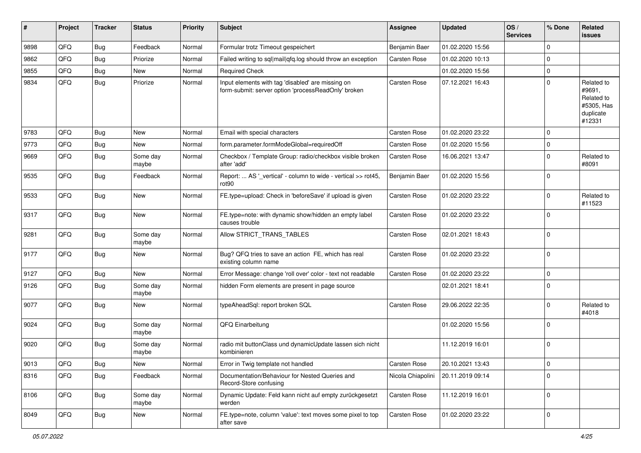| ∦    | Project | <b>Tracker</b> | <b>Status</b>     | <b>Priority</b> | Subject                                                                                                  | <b>Assignee</b>     | <b>Updated</b>   | OS/<br><b>Services</b> | % Done      | Related<br>issues                                                       |
|------|---------|----------------|-------------------|-----------------|----------------------------------------------------------------------------------------------------------|---------------------|------------------|------------------------|-------------|-------------------------------------------------------------------------|
| 9898 | QFQ     | Bug            | Feedback          | Normal          | Formular trotz Timeout gespeichert                                                                       | Benjamin Baer       | 01.02.2020 15:56 |                        | $\Omega$    |                                                                         |
| 9862 | QFQ     | Bug            | Priorize          | Normal          | Failed writing to sql mail qfq.log should throw an exception                                             | <b>Carsten Rose</b> | 01.02.2020 10:13 |                        | 0           |                                                                         |
| 9855 | QFQ     | <b>Bug</b>     | New               | Normal          | <b>Required Check</b>                                                                                    |                     | 01.02.2020 15:56 |                        | $\mathbf 0$ |                                                                         |
| 9834 | QFQ     | <b>Bug</b>     | Priorize          | Normal          | Input elements with tag 'disabled' are missing on<br>form-submit: server option 'processReadOnly' broken | Carsten Rose        | 07.12.2021 16:43 |                        | $\Omega$    | Related to<br>#9691,<br>Related to<br>#5305, Has<br>duplicate<br>#12331 |
| 9783 | QFQ     | Bug            | <b>New</b>        | Normal          | Email with special characters                                                                            | <b>Carsten Rose</b> | 01.02.2020 23:22 |                        | $\Omega$    |                                                                         |
| 9773 | QFQ     | Bug            | <b>New</b>        | Normal          | form.parameter.formModeGlobal=requiredOff                                                                | Carsten Rose        | 01.02.2020 15:56 |                        | $\Omega$    |                                                                         |
| 9669 | QFQ     | <b>Bug</b>     | Some day<br>maybe | Normal          | Checkbox / Template Group: radio/checkbox visible broken<br>after 'add'                                  | <b>Carsten Rose</b> | 16.06.2021 13:47 |                        | 0           | Related to<br>#8091                                                     |
| 9535 | QFQ     | Bug            | Feedback          | Normal          | Report:  AS '_vertical' - column to wide - vertical >> rot45,<br>rot <sub>90</sub>                       | Benjamin Baer       | 01.02.2020 15:56 |                        | $\Omega$    |                                                                         |
| 9533 | QFQ     | <b>Bug</b>     | <b>New</b>        | Normal          | FE.type=upload: Check in 'beforeSave' if upload is given                                                 | Carsten Rose        | 01.02.2020 23:22 |                        | $\Omega$    | Related to<br>#11523                                                    |
| 9317 | QFQ     | <b>Bug</b>     | New               | Normal          | FE.type=note: with dynamic show/hidden an empty label<br>causes trouble                                  | Carsten Rose        | 01.02.2020 23:22 |                        | $\Omega$    |                                                                         |
| 9281 | QFQ     | <b>Bug</b>     | Some day<br>maybe | Normal          | Allow STRICT_TRANS_TABLES                                                                                | <b>Carsten Rose</b> | 02.01.2021 18:43 |                        | $\Omega$    |                                                                         |
| 9177 | QFQ     | <b>Bug</b>     | <b>New</b>        | Normal          | Bug? QFQ tries to save an action FE, which has real<br>existing column name                              | <b>Carsten Rose</b> | 01.02.2020 23:22 |                        | $\Omega$    |                                                                         |
| 9127 | QFQ     | Bug            | <b>New</b>        | Normal          | Error Message: change 'roll over' color - text not readable                                              | <b>Carsten Rose</b> | 01.02.2020 23:22 |                        | $\Omega$    |                                                                         |
| 9126 | QFQ     | <b>Bug</b>     | Some day<br>maybe | Normal          | hidden Form elements are present in page source                                                          |                     | 02.01.2021 18:41 |                        | $\Omega$    |                                                                         |
| 9077 | QFQ     | <b>Bug</b>     | <b>New</b>        | Normal          | typeAheadSql: report broken SQL                                                                          | Carsten Rose        | 29.06.2022 22:35 |                        | $\Omega$    | Related to<br>#4018                                                     |
| 9024 | QFQ     | <b>Bug</b>     | Some day<br>maybe | Normal          | QFQ Einarbeitung                                                                                         |                     | 01.02.2020 15:56 |                        | $\Omega$    |                                                                         |
| 9020 | QFQ     | Bug            | Some day<br>maybe | Normal          | radio mit buttonClass und dynamicUpdate lassen sich nicht<br>kombinieren                                 |                     | 11.12.2019 16:01 |                        | $\Omega$    |                                                                         |
| 9013 | QFG     | Bug            | New               | Normal          | Error in Twig template not handled                                                                       | Carsten Rose        | 20.10.2021 13:43 |                        | 0           |                                                                         |
| 8316 | QFQ     | <b>Bug</b>     | Feedback          | Normal          | Documentation/Behaviour for Nested Queries and<br>Record-Store confusing                                 | Nicola Chiapolini   | 20.11.2019 09:14 |                        | $\mathbf 0$ |                                                                         |
| 8106 | QFQ     | <b>Bug</b>     | Some day<br>maybe | Normal          | Dynamic Update: Feld kann nicht auf empty zurückgesetzt<br>werden                                        | Carsten Rose        | 11.12.2019 16:01 |                        | $\mathbf 0$ |                                                                         |
| 8049 | QFQ     | <b>Bug</b>     | New               | Normal          | FE.type=note, column 'value': text moves some pixel to top<br>after save                                 | Carsten Rose        | 01.02.2020 23:22 |                        | 0           |                                                                         |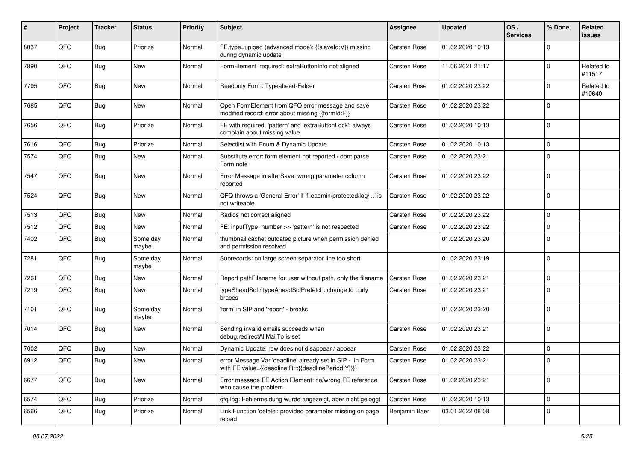| #    | Project | <b>Tracker</b> | <b>Status</b>     | <b>Priority</b> | Subject                                                                                                          | <b>Assignee</b>     | <b>Updated</b>   | OS/<br><b>Services</b> | % Done      | Related<br>issues    |
|------|---------|----------------|-------------------|-----------------|------------------------------------------------------------------------------------------------------------------|---------------------|------------------|------------------------|-------------|----------------------|
| 8037 | QFQ     | <b>Bug</b>     | Priorize          | Normal          | FE.type=upload (advanced mode): {{slaveld:V}} missing<br>during dynamic update                                   | <b>Carsten Rose</b> | 01.02.2020 10:13 |                        | $\Omega$    |                      |
| 7890 | QFQ     | <b>Bug</b>     | New               | Normal          | FormElement 'required': extraButtonInfo not aligned                                                              | <b>Carsten Rose</b> | 11.06.2021 21:17 |                        | $\mathbf 0$ | Related to<br>#11517 |
| 7795 | QFQ     | Bug            | New               | Normal          | Readonly Form: Typeahead-Felder                                                                                  | Carsten Rose        | 01.02.2020 23:22 |                        | 0           | Related to<br>#10640 |
| 7685 | QFQ     | Bug            | <b>New</b>        | Normal          | Open FormElement from QFQ error message and save<br>modified record: error about missing {{formId:F}}            | Carsten Rose        | 01.02.2020 23:22 |                        | 0           |                      |
| 7656 | QFQ     | <b>Bug</b>     | Priorize          | Normal          | FE with required, 'pattern' and 'extraButtonLock': always<br>complain about missing value                        | Carsten Rose        | 01.02.2020 10:13 |                        | $\mathbf 0$ |                      |
| 7616 | QFQ     | <b>Bug</b>     | Priorize          | Normal          | Selectlist with Enum & Dynamic Update                                                                            | <b>Carsten Rose</b> | 01.02.2020 10:13 |                        | $\mathbf 0$ |                      |
| 7574 | QFQ     | Bug            | New               | Normal          | Substitute error: form element not reported / dont parse<br>Form.note                                            | Carsten Rose        | 01.02.2020 23:21 |                        | $\mathbf 0$ |                      |
| 7547 | QFQ     | Bug            | New               | Normal          | Error Message in afterSave: wrong parameter column<br>reported                                                   | Carsten Rose        | 01.02.2020 23:22 |                        | $\mathbf 0$ |                      |
| 7524 | QFQ     | Bug            | <b>New</b>        | Normal          | QFQ throws a 'General Error' if 'fileadmin/protected/log/' is<br>not writeable                                   | Carsten Rose        | 01.02.2020 23:22 |                        | $\mathbf 0$ |                      |
| 7513 | QFQ     | <b>Bug</b>     | <b>New</b>        | Normal          | Radios not correct aligned                                                                                       | <b>Carsten Rose</b> | 01.02.2020 23:22 |                        | $\mathbf 0$ |                      |
| 7512 | QFQ     | <b>Bug</b>     | <b>New</b>        | Normal          | FE: inputType=number >> 'pattern' is not respected                                                               | <b>Carsten Rose</b> | 01.02.2020 23:22 |                        | $\mathbf 0$ |                      |
| 7402 | QFQ     | Bug            | Some day<br>maybe | Normal          | thumbnail cache: outdated picture when permission denied<br>and permission resolved.                             |                     | 01.02.2020 23:20 |                        | 0           |                      |
| 7281 | QFQ     | Bug            | Some day<br>maybe | Normal          | Subrecords: on large screen separator line too short                                                             |                     | 01.02.2020 23:19 |                        | $\mathbf 0$ |                      |
| 7261 | QFQ     | Bug            | <b>New</b>        | Normal          | Report pathFilename for user without path, only the filename                                                     | <b>Carsten Rose</b> | 01.02.2020 23:21 |                        | $\mathbf 0$ |                      |
| 7219 | QFQ     | <b>Bug</b>     | New               | Normal          | typeSheadSql / typeAheadSqlPrefetch: change to curly<br>braces                                                   | Carsten Rose        | 01.02.2020 23:21 |                        | $\Omega$    |                      |
| 7101 | QFQ     | Bug            | Some day<br>maybe | Normal          | 'form' in SIP and 'report' - breaks                                                                              |                     | 01.02.2020 23:20 |                        | $\mathbf 0$ |                      |
| 7014 | QFQ     | <b>Bug</b>     | <b>New</b>        | Normal          | Sending invalid emails succeeds when<br>debug.redirectAllMailTo is set                                           | Carsten Rose        | 01.02.2020 23:21 |                        | $\mathbf 0$ |                      |
| 7002 | QFQ     | <b>Bug</b>     | New               | Normal          | Dynamic Update: row does not disappear / appear                                                                  | <b>Carsten Rose</b> | 01.02.2020 23:22 |                        | 0           |                      |
| 6912 | QFQ     | Bug            | New               | Normal          | error Message Var 'deadline' already set in SIP - in Form<br>with FE.value={{deadline:R:::{{deadlinePeriod:Y}}}} | <b>Carsten Rose</b> | 01.02.2020 23:21 |                        | $\Omega$    |                      |
| 6677 | QFQ     | Bug            | New               | Normal          | Error message FE Action Element: no/wrong FE reference<br>who cause the problem.                                 | Carsten Rose        | 01.02.2020 23:21 |                        | 0           |                      |
| 6574 | QFQ     | <b>Bug</b>     | Priorize          | Normal          | qfq.log: Fehlermeldung wurde angezeigt, aber nicht geloggt                                                       | Carsten Rose        | 01.02.2020 10:13 |                        | 0           |                      |
| 6566 | QFQ     | Bug            | Priorize          | Normal          | Link Function 'delete': provided parameter missing on page<br>reload                                             | Benjamin Baer       | 03.01.2022 08:08 |                        | 0           |                      |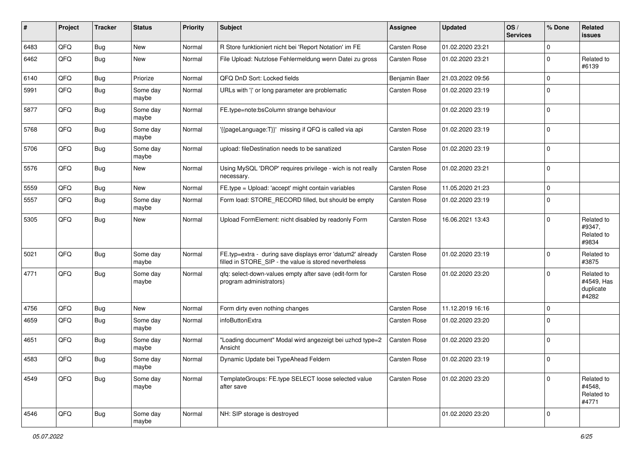| ∦    | Project | <b>Tracker</b> | <b>Status</b>     | <b>Priority</b> | <b>Subject</b>                                                                                                       | <b>Assignee</b>     | <b>Updated</b>   | OS/<br><b>Services</b> | % Done         | Related<br>issues                              |
|------|---------|----------------|-------------------|-----------------|----------------------------------------------------------------------------------------------------------------------|---------------------|------------------|------------------------|----------------|------------------------------------------------|
| 6483 | QFQ     | Bug            | New               | Normal          | R Store funktioniert nicht bei 'Report Notation' im FE                                                               | Carsten Rose        | 01.02.2020 23:21 |                        | 0              |                                                |
| 6462 | QFQ     | <b>Bug</b>     | New               | Normal          | File Upload: Nutzlose Fehlermeldung wenn Datei zu gross                                                              | <b>Carsten Rose</b> | 01.02.2020 23:21 |                        | $\mathbf 0$    | Related to<br>#6139                            |
| 6140 | QFQ     | <b>Bug</b>     | Priorize          | Normal          | QFQ DnD Sort: Locked fields                                                                                          | Benjamin Baer       | 21.03.2022 09:56 |                        | 0              |                                                |
| 5991 | QFQ     | <b>Bug</b>     | Some day<br>maybe | Normal          | URLs with 'I' or long parameter are problematic                                                                      | Carsten Rose        | 01.02.2020 23:19 |                        | $\mathbf 0$    |                                                |
| 5877 | QFQ     | <b>Bug</b>     | Some day<br>maybe | Normal          | FE.type=note:bsColumn strange behaviour                                                                              |                     | 01.02.2020 23:19 |                        | $\mathbf 0$    |                                                |
| 5768 | QFQ     | <b>Bug</b>     | Some day<br>maybe | Normal          | {{pageLanguage:T}}' missing if QFQ is called via api                                                                 | <b>Carsten Rose</b> | 01.02.2020 23:19 |                        | $\mathbf 0$    |                                                |
| 5706 | QFQ     | <b>Bug</b>     | Some day<br>maybe | Normal          | upload: fileDestination needs to be sanatized                                                                        | <b>Carsten Rose</b> | 01.02.2020 23:19 |                        | $\mathbf 0$    |                                                |
| 5576 | QFQ     | <b>Bug</b>     | New               | Normal          | Using MySQL 'DROP' requires privilege - wich is not really<br>necessary.                                             | <b>Carsten Rose</b> | 01.02.2020 23:21 |                        | $\mathbf 0$    |                                                |
| 5559 | QFQ     | <b>Bug</b>     | New               | Normal          | FE.type = Upload: 'accept' might contain variables                                                                   | <b>Carsten Rose</b> | 11.05.2020 21:23 |                        | 0              |                                                |
| 5557 | QFQ     | <b>Bug</b>     | Some day<br>maybe | Normal          | Form load: STORE RECORD filled, but should be empty                                                                  | Carsten Rose        | 01.02.2020 23:19 |                        | $\mathbf 0$    |                                                |
| 5305 | QFQ     | <b>Bug</b>     | New               | Normal          | Upload FormElement: nicht disabled by readonly Form                                                                  | <b>Carsten Rose</b> | 16.06.2021 13:43 |                        | $\Omega$       | Related to<br>#9347,<br>Related to<br>#9834    |
| 5021 | QFQ     | <b>Bug</b>     | Some day<br>maybe | Normal          | FE.typ=extra - during save displays error 'datum2' already<br>filled in STORE_SIP - the value is stored nevertheless | <b>Carsten Rose</b> | 01.02.2020 23:19 |                        | 0              | Related to<br>#3875                            |
| 4771 | QFQ     | <b>Bug</b>     | Some day<br>maybe | Normal          | qfq: select-down-values empty after save (edit-form for<br>program administrators)                                   | <b>Carsten Rose</b> | 01.02.2020 23:20 |                        | $\Omega$       | Related to<br>#4549, Has<br>duplicate<br>#4282 |
| 4756 | QFQ     | <b>Bug</b>     | New               | Normal          | Form dirty even nothing changes                                                                                      | <b>Carsten Rose</b> | 11.12.2019 16:16 |                        | $\overline{0}$ |                                                |
| 4659 | QFQ     | Bug            | Some day<br>maybe | Normal          | infoButtonExtra                                                                                                      | <b>Carsten Rose</b> | 01.02.2020 23:20 |                        | $\mathbf 0$    |                                                |
| 4651 | QFQ     | <b>Bug</b>     | Some day<br>maybe | Normal          | 'Loading document" Modal wird angezeigt bei uzhcd type=2<br>Ansicht                                                  | <b>Carsten Rose</b> | 01.02.2020 23:20 |                        | $\mathbf 0$    |                                                |
| 4583 | QFQ     | Bug            | Some day<br>maybe | Normal          | Dynamic Update bei TypeAhead Feldern                                                                                 | <b>Carsten Rose</b> | 01.02.2020 23:19 |                        | $\overline{0}$ |                                                |
| 4549 | QFQ     | Bug            | Some day<br>maybe | Normal          | TemplateGroups: FE.type SELECT loose selected value<br>after save                                                    | Carsten Rose        | 01.02.2020 23:20 |                        | $\mathbf 0$    | Related to<br>#4548,<br>Related to<br>#4771    |
| 4546 | QFQ     | <b>Bug</b>     | Some day<br>maybe | Normal          | NH: SIP storage is destroyed                                                                                         |                     | 01.02.2020 23:20 |                        | $\overline{0}$ |                                                |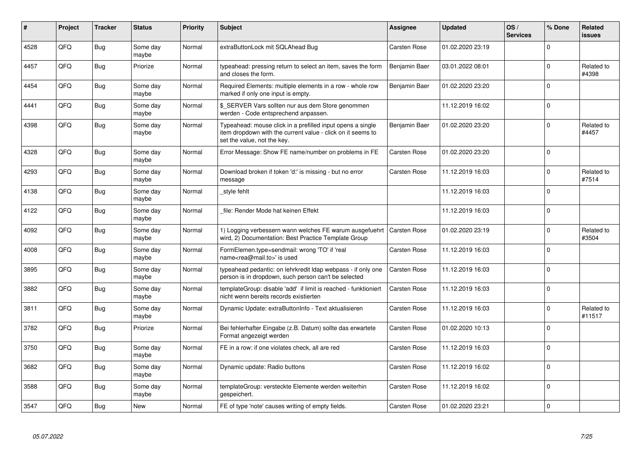| #    | Project    | <b>Tracker</b> | <b>Status</b>     | <b>Priority</b> | <b>Subject</b>                                                                                                                                           | <b>Assignee</b>     | <b>Updated</b>   | OS/<br><b>Services</b> | % Done      | Related<br>issues    |
|------|------------|----------------|-------------------|-----------------|----------------------------------------------------------------------------------------------------------------------------------------------------------|---------------------|------------------|------------------------|-------------|----------------------|
| 4528 | QFQ        | <b>Bug</b>     | Some day<br>maybe | Normal          | extraButtonLock mit SQLAhead Bug                                                                                                                         | <b>Carsten Rose</b> | 01.02.2020 23:19 |                        | $\Omega$    |                      |
| 4457 | QFQ        | Bug            | Priorize          | Normal          | typeahead: pressing return to select an item, saves the form<br>and closes the form.                                                                     | Benjamin Baer       | 03.01.2022 08:01 |                        | $\Omega$    | Related to<br>#4398  |
| 4454 | QFQ        | Bug            | Some day<br>maybe | Normal          | Required Elements: multiple elements in a row - whole row<br>marked if only one input is empty.                                                          | Benjamin Baer       | 01.02.2020 23:20 |                        | $\mathbf 0$ |                      |
| 4441 | <b>OFO</b> | Bug            | Some day<br>maybe | Normal          | \$ SERVER Vars sollten nur aus dem Store genommen<br>werden - Code entsprechend anpassen.                                                                |                     | 11.12.2019 16:02 |                        | $\Omega$    |                      |
| 4398 | QFQ        | Bug            | Some day<br>maybe | Normal          | Typeahead: mouse click in a prefilled input opens a single<br>item dropdown with the current value - click on it seems to<br>set the value, not the key. | Benjamin Baer       | 01.02.2020 23:20 |                        | $\Omega$    | Related to<br>#4457  |
| 4328 | QFQ        | Bug            | Some day<br>maybe | Normal          | Error Message: Show FE name/number on problems in FE                                                                                                     | <b>Carsten Rose</b> | 01.02.2020 23:20 |                        | $\Omega$    |                      |
| 4293 | QFQ        | <b>Bug</b>     | Some day<br>maybe | Normal          | Download broken if token 'd:' is missing - but no error<br>message                                                                                       | Carsten Rose        | 11.12.2019 16:03 |                        | $\Omega$    | Related to<br>#7514  |
| 4138 | QFQ        | Bug            | Some day<br>maybe | Normal          | style fehlt                                                                                                                                              |                     | 11.12.2019 16:03 |                        | $\mathbf 0$ |                      |
| 4122 | QFQ        | <b>Bug</b>     | Some day<br>maybe | Normal          | file: Render Mode hat keinen Effekt                                                                                                                      |                     | 11.12.2019 16:03 |                        | $\Omega$    |                      |
| 4092 | QFQ        | Bug            | Some day<br>maybe | Normal          | 1) Logging verbessern wann welches FE warum ausgefuehrt<br>wird, 2) Documentation: Best Practice Template Group                                          | Carsten Rose        | 01.02.2020 23:19 |                        | $\Omega$    | Related to<br>#3504  |
| 4008 | QFQ        | Bug            | Some day<br>maybe | Normal          | FormElemen.type=sendmail: wrong 'TO' if 'real<br>name <rea@mail.to>' is used</rea@mail.to>                                                               | <b>Carsten Rose</b> | 11.12.2019 16:03 |                        | $\Omega$    |                      |
| 3895 | QFQ        | <b>Bug</b>     | Some day<br>maybe | Normal          | typeahead pedantic: on lehrkredit Idap webpass - if only one<br>person is in dropdown, such person can't be selected                                     | <b>Carsten Rose</b> | 11.12.2019 16:03 |                        | $\Omega$    |                      |
| 3882 | QFQ        | <b>Bug</b>     | Some day<br>maybe | Normal          | templateGroup: disable 'add' if limit is reached - funktioniert<br>nicht wenn bereits records existierten                                                | <b>Carsten Rose</b> | 11.12.2019 16:03 |                        | $\Omega$    |                      |
| 3811 | QFQ        | <b>Bug</b>     | Some day<br>maybe | Normal          | Dynamic Update: extraButtonInfo - Text aktualisieren                                                                                                     | Carsten Rose        | 11.12.2019 16:03 |                        | $\Omega$    | Related to<br>#11517 |
| 3782 | QFQ        | <b>Bug</b>     | Priorize          | Normal          | Bei fehlerhafter Eingabe (z.B. Datum) sollte das erwartete<br>Format angezeigt werden                                                                    | <b>Carsten Rose</b> | 01.02.2020 10:13 |                        | $\Omega$    |                      |
| 3750 | QFQ        | <b>Bug</b>     | Some day<br>maybe | Normal          | FE in a row: if one violates check, all are red                                                                                                          | <b>Carsten Rose</b> | 11.12.2019 16:03 |                        | $\Omega$    |                      |
| 3682 | QFQ        | <b>Bug</b>     | Some day<br>maybe | Normal          | Dynamic update: Radio buttons                                                                                                                            | <b>Carsten Rose</b> | 11.12.2019 16:02 |                        | $\Omega$    |                      |
| 3588 | QFQ        | Bug            | Some day<br>maybe | Normal          | templateGroup: versteckte Elemente werden weiterhin<br>gespeichert.                                                                                      | <b>Carsten Rose</b> | 11.12.2019 16:02 |                        | l 0         |                      |
| 3547 | QFQ        | Bug            | <b>New</b>        | Normal          | FE of type 'note' causes writing of empty fields.                                                                                                        | <b>Carsten Rose</b> | 01.02.2020 23:21 |                        | $\Omega$    |                      |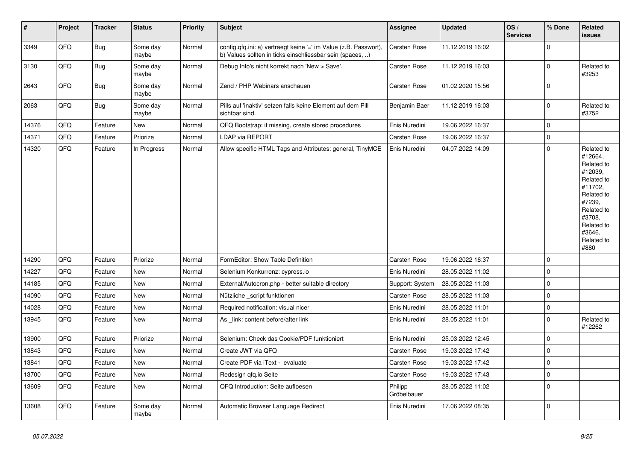| $\vert$ # | <b>Project</b> | <b>Tracker</b> | <b>Status</b>     | <b>Priority</b> | <b>Subject</b>                                                                                                                | Assignee               | <b>Updated</b>   | OS/<br><b>Services</b> | % Done         | Related<br>issues                                                                                                                                                     |
|-----------|----------------|----------------|-------------------|-----------------|-------------------------------------------------------------------------------------------------------------------------------|------------------------|------------------|------------------------|----------------|-----------------------------------------------------------------------------------------------------------------------------------------------------------------------|
| 3349      | QFQ            | <b>Bug</b>     | Some day<br>maybe | Normal          | config.qfq.ini: a) vertraegt keine '=' im Value (z.B. Passwort),<br>b) Values sollten in ticks einschliessbar sein (spaces, ) | Carsten Rose           | 11.12.2019 16:02 |                        | $\Omega$       |                                                                                                                                                                       |
| 3130      | QFQ            | <b>Bug</b>     | Some day<br>maybe | Normal          | Debug Info's nicht korrekt nach 'New > Save'.                                                                                 | Carsten Rose           | 11.12.2019 16:03 |                        | $\Omega$       | Related to<br>#3253                                                                                                                                                   |
| 2643      | QFQ            | <b>Bug</b>     | Some day<br>maybe | Normal          | Zend / PHP Webinars anschauen                                                                                                 | Carsten Rose           | 01.02.2020 15:56 |                        | $\Omega$       |                                                                                                                                                                       |
| 2063      | QFQ            | <b>Bug</b>     | Some day<br>maybe | Normal          | Pills auf 'inaktiv' setzen falls keine Element auf dem Pill<br>sichtbar sind.                                                 | Benjamin Baer          | 11.12.2019 16:03 |                        | $\Omega$       | Related to<br>#3752                                                                                                                                                   |
| 14376     | QFQ            | Feature        | New               | Normal          | QFQ Bootstrap: if missing, create stored procedures                                                                           | Enis Nuredini          | 19.06.2022 16:37 |                        | $\Omega$       |                                                                                                                                                                       |
| 14371     | QFQ            | Feature        | Priorize          | Normal          | <b>LDAP via REPORT</b>                                                                                                        | <b>Carsten Rose</b>    | 19.06.2022 16:37 |                        | $\overline{0}$ |                                                                                                                                                                       |
| 14320     | QFQ            | Feature        | In Progress       | Normal          | Allow specific HTML Tags and Attributes: general, TinyMCE                                                                     | Enis Nuredini          | 04.07.2022 14:09 |                        | $\Omega$       | Related to<br>#12664,<br>Related to<br>#12039,<br>Related to<br>#11702,<br>Related to<br>#7239,<br>Related to<br>#3708,<br>Related to<br>#3646,<br>Related to<br>#880 |
| 14290     | QFQ            | Feature        | Priorize          | Normal          | FormEditor: Show Table Definition                                                                                             | Carsten Rose           | 19.06.2022 16:37 |                        | $\Omega$       |                                                                                                                                                                       |
| 14227     | QFQ            | Feature        | <b>New</b>        | Normal          | Selenium Konkurrenz: cypress.io                                                                                               | Enis Nuredini          | 28.05.2022 11:02 |                        | $\Omega$       |                                                                                                                                                                       |
| 14185     | QFQ            | Feature        | <b>New</b>        | Normal          | External/Autocron.php - better suitable directory                                                                             | Support: System        | 28.05.2022 11:03 |                        | $\mathbf 0$    |                                                                                                                                                                       |
| 14090     | QFQ            | Feature        | New               | Normal          | Nützliche _script funktionen                                                                                                  | Carsten Rose           | 28.05.2022 11:03 |                        | $\Omega$       |                                                                                                                                                                       |
| 14028     | QFQ            | Feature        | <b>New</b>        | Normal          | Required notification: visual nicer                                                                                           | Enis Nuredini          | 28.05.2022 11:01 |                        | $\Omega$       |                                                                                                                                                                       |
| 13945     | QFQ            | Feature        | New               | Normal          | As link: content before/after link                                                                                            | Enis Nuredini          | 28.05.2022 11:01 |                        | $\Omega$       | Related to<br>#12262                                                                                                                                                  |
| 13900     | QFQ            | Feature        | Priorize          | Normal          | Selenium: Check das Cookie/PDF funktioniert                                                                                   | Enis Nuredini          | 25.03.2022 12:45 |                        | $\mathbf 0$    |                                                                                                                                                                       |
| 13843     | QFQ            | Feature        | New               | Normal          | Create JWT via QFQ                                                                                                            | Carsten Rose           | 19.03.2022 17:42 |                        | $\mathbf 0$    |                                                                                                                                                                       |
| 13841     | QFQ            | Feature        | New               | Normal          | Create PDF via iText - evaluate                                                                                               | Carsten Rose           | 19.03.2022 17:42 |                        | $\mathbf 0$    |                                                                                                                                                                       |
| 13700     | QFQ            | Feature        | New               | Normal          | Redesign qfq.io Seite                                                                                                         | Carsten Rose           | 19.03.2022 17:43 |                        | $\Omega$       |                                                                                                                                                                       |
| 13609     | QFQ            | Feature        | New               | Normal          | QFQ Introduction: Seite aufloesen                                                                                             | Philipp<br>Gröbelbauer | 28.05.2022 11:02 |                        | $\Omega$       |                                                                                                                                                                       |
| 13608     | QFQ            | Feature        | Some day<br>maybe | Normal          | Automatic Browser Language Redirect                                                                                           | Enis Nuredini          | 17.06.2022 08:35 |                        | $\Omega$       |                                                                                                                                                                       |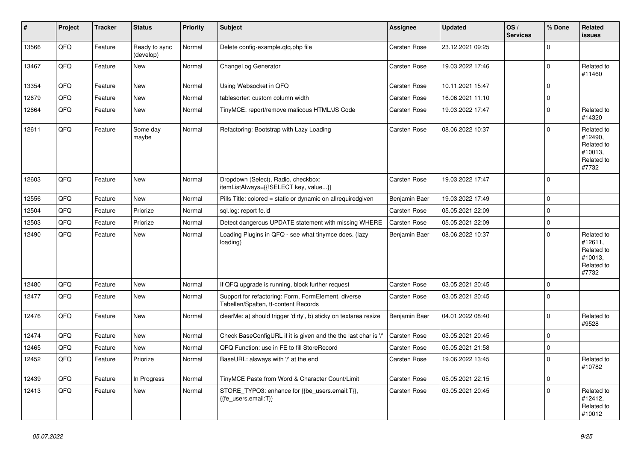| #     | Project | <b>Tracker</b> | <b>Status</b>              | <b>Priority</b> | <b>Subject</b>                                                                              | <b>Assignee</b>     | <b>Updated</b>   | OS/<br><b>Services</b> | % Done      | Related<br><b>issues</b>                                              |
|-------|---------|----------------|----------------------------|-----------------|---------------------------------------------------------------------------------------------|---------------------|------------------|------------------------|-------------|-----------------------------------------------------------------------|
| 13566 | QFQ     | Feature        | Ready to sync<br>(develop) | Normal          | Delete config-example.qfq.php file                                                          | <b>Carsten Rose</b> | 23.12.2021 09:25 |                        | $\Omega$    |                                                                       |
| 13467 | QFQ     | Feature        | <b>New</b>                 | Normal          | ChangeLog Generator                                                                         | <b>Carsten Rose</b> | 19.03.2022 17:46 |                        | $\mathbf 0$ | Related to<br>#11460                                                  |
| 13354 | QFQ     | Feature        | <b>New</b>                 | Normal          | Using Websocket in QFQ                                                                      | <b>Carsten Rose</b> | 10.11.2021 15:47 |                        | $\Omega$    |                                                                       |
| 12679 | QFQ     | Feature        | <b>New</b>                 | Normal          | tablesorter: custom column width                                                            | <b>Carsten Rose</b> | 16.06.2021 11:10 |                        | $\Omega$    |                                                                       |
| 12664 | QFQ     | Feature        | <b>New</b>                 | Normal          | TinyMCE: report/remove malicous HTML/JS Code                                                | Carsten Rose        | 19.03.2022 17:47 |                        | $\Omega$    | Related to<br>#14320                                                  |
| 12611 | QFQ     | Feature        | Some day<br>maybe          | Normal          | Refactoring: Bootstrap with Lazy Loading                                                    | <b>Carsten Rose</b> | 08.06.2022 10:37 |                        | $\Omega$    | Related to<br>#12490,<br>Related to<br>#10013,<br>Related to<br>#7732 |
| 12603 | QFQ     | Feature        | New                        | Normal          | Dropdown (Select), Radio, checkbox:<br>itemListAlways={{!SELECT key, value}}                | Carsten Rose        | 19.03.2022 17:47 |                        | ١o          |                                                                       |
| 12556 | QFQ     | Feature        | <b>New</b>                 | Normal          | Pills Title: colored = static or dynamic on allrequiredgiven                                | Benjamin Baer       | 19.03.2022 17:49 |                        | $\Omega$    |                                                                       |
| 12504 | QFQ     | Feature        | Priorize                   | Normal          | sql.log: report fe.id                                                                       | Carsten Rose        | 05.05.2021 22:09 |                        | $\Omega$    |                                                                       |
| 12503 | QFQ     | Feature        | Priorize                   | Normal          | Detect dangerous UPDATE statement with missing WHERE                                        | <b>Carsten Rose</b> | 05.05.2021 22:09 |                        | $\Omega$    |                                                                       |
| 12490 | QFQ     | Feature        | <b>New</b>                 | Normal          | Loading Plugins in QFQ - see what tinymce does. (lazy<br>loading)                           | Benjamin Baer       | 08.06.2022 10:37 |                        | $\Omega$    | Related to<br>#12611,<br>Related to<br>#10013,<br>Related to<br>#7732 |
| 12480 | QFQ     | Feature        | <b>New</b>                 | Normal          | If QFQ upgrade is running, block further request                                            | <b>Carsten Rose</b> | 03.05.2021 20:45 |                        | $\mathbf 0$ |                                                                       |
| 12477 | QFQ     | Feature        | New                        | Normal          | Support for refactoring: Form, FormElement, diverse<br>Tabellen/Spalten, tt-content Records | <b>Carsten Rose</b> | 03.05.2021 20:45 |                        | $\Omega$    |                                                                       |
| 12476 | QFQ     | Feature        | <b>New</b>                 | Normal          | clearMe: a) should trigger 'dirty', b) sticky on textarea resize                            | Benjamin Baer       | 04.01.2022 08:40 |                        | $\Omega$    | Related to<br>#9528                                                   |
| 12474 | QFQ     | Feature        | <b>New</b>                 | Normal          | Check BaseConfigURL if it is given and the the last char is '/'                             | <b>Carsten Rose</b> | 03.05.2021 20:45 |                        | $\mathbf 0$ |                                                                       |
| 12465 | QFQ     | Feature        | New                        | Normal          | QFQ Function: use in FE to fill StoreRecord                                                 | Carsten Rose        | 05.05.2021 21:58 |                        | $\Omega$    |                                                                       |
| 12452 | QFQ     | Feature        | Priorize                   | Normal          | BaseURL: alsways with '/' at the end                                                        | Carsten Rose        | 19.06.2022 13:45 |                        | $\Omega$    | Related to<br>#10782                                                  |
| 12439 | QFQ     | Feature        | In Progress                | Normal          | TinyMCE Paste from Word & Character Count/Limit                                             | Carsten Rose        | 05.05.2021 22:15 |                        | $\mathbf 0$ |                                                                       |
| 12413 | QFQ     | Feature        | <b>New</b>                 | Normal          | STORE_TYPO3: enhance for {{be_users.email:T}},<br>{{fe users.email:T}}                      | Carsten Rose        | 03.05.2021 20:45 |                        | $\Omega$    | Related to<br>#12412,<br>Related to<br>#10012                         |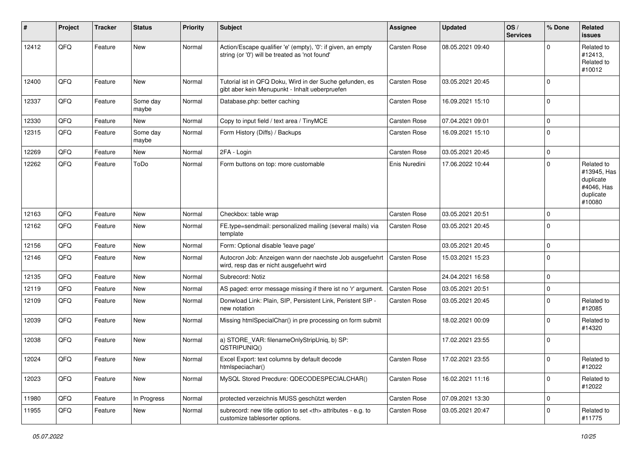| ∦     | Project | <b>Tracker</b> | <b>Status</b>     | <b>Priority</b> | <b>Subject</b>                                                                                                 | <b>Assignee</b>                                        | <b>Updated</b>   | OS/<br><b>Services</b> | % Done         | Related<br>issues                                                           |                      |
|-------|---------|----------------|-------------------|-----------------|----------------------------------------------------------------------------------------------------------------|--------------------------------------------------------|------------------|------------------------|----------------|-----------------------------------------------------------------------------|----------------------|
| 12412 | QFQ     | Feature        | New               | Normal          | Action/Escape qualifier 'e' (empty), '0': if given, an empty<br>string (or '0') will be treated as 'not found' | <b>Carsten Rose</b>                                    | 08.05.2021 09:40 |                        | <sup>0</sup>   | Related to<br>#12413,<br>Related to<br>#10012                               |                      |
| 12400 | QFQ     | Feature        | <b>New</b>        | Normal          | Tutorial ist in QFQ Doku, Wird in der Suche gefunden, es<br>gibt aber kein Menupunkt - Inhalt ueberpruefen     | <b>Carsten Rose</b>                                    | 03.05.2021 20:45 |                        | $\Omega$       |                                                                             |                      |
| 12337 | QFQ     | Feature        | Some day<br>maybe | Normal          | Database.php: better caching                                                                                   | Carsten Rose                                           | 16.09.2021 15:10 |                        | $\mathbf 0$    |                                                                             |                      |
| 12330 | QFQ     | Feature        | <b>New</b>        | Normal          | Copy to input field / text area / TinyMCE                                                                      | <b>Carsten Rose</b>                                    | 07.04.2021 09:01 |                        | $\mathbf 0$    |                                                                             |                      |
| 12315 | QFQ     | Feature        | Some day<br>maybe | Normal          | Form History (Diffs) / Backups                                                                                 | <b>Carsten Rose</b>                                    | 16.09.2021 15:10 |                        | $\mathbf 0$    |                                                                             |                      |
| 12269 | QFQ     | Feature        | <b>New</b>        | Normal          | 2FA - Login                                                                                                    | <b>Carsten Rose</b>                                    | 03.05.2021 20:45 |                        | $\mathbf 0$    |                                                                             |                      |
| 12262 | QFQ     | Feature        | ToDo              | Normal          | Form buttons on top: more customable                                                                           | Enis Nuredini                                          | 17.06.2022 10:44 |                        | $\Omega$       | Related to<br>#13945, Has<br>duplicate<br>#4046, Has<br>duplicate<br>#10080 |                      |
| 12163 | QFQ     | Feature        | <b>New</b>        | Normal          | Checkbox: table wrap                                                                                           | <b>Carsten Rose</b>                                    | 03.05.2021 20:51 |                        | 0              |                                                                             |                      |
| 12162 | QFQ     | Feature        | New               | Normal          | FE.type=sendmail: personalized mailing (several mails) via<br>template                                         | <b>Carsten Rose</b>                                    | 03.05.2021 20:45 |                        | $\Omega$       |                                                                             |                      |
| 12156 | QFQ     | Feature        | <b>New</b>        | Normal          | Form: Optional disable 'leave page'                                                                            |                                                        | 03.05.2021 20:45 |                        | $\Omega$       |                                                                             |                      |
| 12146 | QFQ     | Feature        | <b>New</b>        | Normal          | Autocron Job: Anzeigen wann der naechste Job ausgefuehrt<br>wird, resp das er nicht ausgefuehrt wird           | <b>Carsten Rose</b>                                    | 15.03.2021 15:23 |                        | 0              |                                                                             |                      |
| 12135 | QFQ     | Feature        | <b>New</b>        | Normal          | Subrecord: Notiz                                                                                               |                                                        | 24.04.2021 16:58 |                        | 0              |                                                                             |                      |
| 12119 | QFQ     | Feature        | <b>New</b>        | Normal          | AS paged: error message missing if there ist no 'r' argument.                                                  | <b>Carsten Rose</b>                                    | 03.05.2021 20:51 |                        | 0              |                                                                             |                      |
| 12109 | QFQ     | Feature        | New               | Normal          | Donwload Link: Plain, SIP, Persistent Link, Peristent SIP -<br>new notation                                    | Carsten Rose                                           | 03.05.2021 20:45 |                        | $\Omega$       | Related to<br>#12085                                                        |                      |
| 12039 | QFQ     | Feature        | <b>New</b>        | Normal          | Missing htmlSpecialChar() in pre processing on form submit                                                     |                                                        | 18.02.2021 00:09 |                        | $\Omega$       | Related to<br>#14320                                                        |                      |
| 12038 | QFQ     | Feature        | New               | Normal          | a) STORE_VAR: filenameOnlyStripUniq, b) SP:<br>QSTRIPUNIQ()                                                    |                                                        | 17.02.2021 23:55 |                        | $\overline{0}$ |                                                                             |                      |
| 12024 | QFQ     | Feature        | New               | Normal          | Excel Export: text columns by default decode<br>htmlspeciachar()                                               | <b>Carsten Rose</b>                                    | 17.02.2021 23:55 |                        | $\Omega$       | Related to<br>#12022                                                        |                      |
| 12023 | QFG     | Feature        | New               | Normal          | MySQL Stored Precdure: QDECODESPECIALCHAR()                                                                    | Carsten Rose                                           | 16.02.2021 11:16 |                        | $\Omega$       | Related to<br>#12022                                                        |                      |
| 11980 | QFQ     | Feature        | In Progress       | Normal          | protected verzeichnis MUSS geschützt werden                                                                    | Carsten Rose                                           | 07.09.2021 13:30 |                        | $\mathbf 0$    |                                                                             |                      |
| 11955 | QFQ     | Feature        | New               | Normal          | subrecord: new title option to set <th> attributes - e.g. to<br/>customize tablesorter options.</th>           | attributes - e.g. to<br>customize tablesorter options. | Carsten Rose     | 03.05.2021 20:47       |                | $\Omega$                                                                    | Related to<br>#11775 |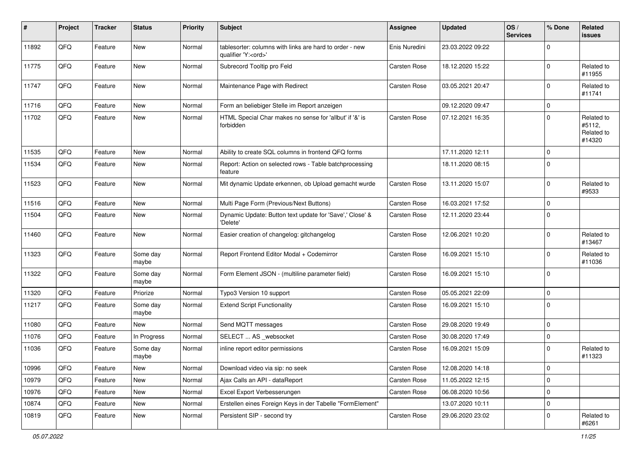| #     | Project | <b>Tracker</b> | <b>Status</b>     | <b>Priority</b> | <b>Subject</b>                                                                        | <b>Assignee</b>     | <b>Updated</b>   | OS/<br><b>Services</b> | % Done      | Related<br>issues                            |
|-------|---------|----------------|-------------------|-----------------|---------------------------------------------------------------------------------------|---------------------|------------------|------------------------|-------------|----------------------------------------------|
| 11892 | QFQ     | Feature        | <b>New</b>        | Normal          | tablesorter: columns with links are hard to order - new<br>qualifier 'Y: <ord>'</ord> | Enis Nuredini       | 23.03.2022 09:22 |                        | $\Omega$    |                                              |
| 11775 | QFQ     | Feature        | New               | Normal          | Subrecord Tooltip pro Feld                                                            | <b>Carsten Rose</b> | 18.12.2020 15:22 |                        | $\mathbf 0$ | Related to<br>#11955                         |
| 11747 | QFQ     | Feature        | New               | Normal          | Maintenance Page with Redirect                                                        | <b>Carsten Rose</b> | 03.05.2021 20:47 |                        | $\Omega$    | Related to<br>#11741                         |
| 11716 | QFQ     | Feature        | <b>New</b>        | Normal          | Form an beliebiger Stelle im Report anzeigen                                          |                     | 09.12.2020 09:47 |                        | 0           |                                              |
| 11702 | QFQ     | Feature        | New               | Normal          | HTML Special Char makes no sense for 'allbut' if '&' is<br>forbidden                  | <b>Carsten Rose</b> | 07.12.2021 16:35 |                        | $\Omega$    | Related to<br>#5112,<br>Related to<br>#14320 |
| 11535 | QFQ     | Feature        | <b>New</b>        | Normal          | Ability to create SQL columns in frontend QFQ forms                                   |                     | 17.11.2020 12:11 |                        | $\mathbf 0$ |                                              |
| 11534 | QFQ     | Feature        | New               | Normal          | Report: Action on selected rows - Table batchprocessing<br>feature                    |                     | 18.11.2020 08:15 |                        | $\Omega$    |                                              |
| 11523 | QFQ     | Feature        | <b>New</b>        | Normal          | Mit dynamic Update erkennen, ob Upload gemacht wurde                                  | <b>Carsten Rose</b> | 13.11.2020 15:07 |                        | $\Omega$    | Related to<br>#9533                          |
| 11516 | QFQ     | Feature        | <b>New</b>        | Normal          | Multi Page Form (Previous/Next Buttons)                                               | Carsten Rose        | 16.03.2021 17:52 |                        | $\mathbf 0$ |                                              |
| 11504 | QFQ     | Feature        | New               | Normal          | Dynamic Update: Button text update for 'Save',' Close' &<br>'Delete'                  | <b>Carsten Rose</b> | 12.11.2020 23:44 |                        | $\Omega$    |                                              |
| 11460 | QFQ     | Feature        | <b>New</b>        | Normal          | Easier creation of changelog: gitchangelog                                            | <b>Carsten Rose</b> | 12.06.2021 10:20 |                        | $\Omega$    | Related to<br>#13467                         |
| 11323 | QFQ     | Feature        | Some day<br>maybe | Normal          | Report Frontend Editor Modal + Codemirror                                             | Carsten Rose        | 16.09.2021 15:10 |                        | $\Omega$    | Related to<br>#11036                         |
| 11322 | QFQ     | Feature        | Some day<br>maybe | Normal          | Form Element JSON - (multiline parameter field)                                       | Carsten Rose        | 16.09.2021 15:10 |                        | $\Omega$    |                                              |
| 11320 | QFQ     | Feature        | Priorize          | Normal          | Typo3 Version 10 support                                                              | <b>Carsten Rose</b> | 05.05.2021 22:09 |                        | 0           |                                              |
| 11217 | QFQ     | Feature        | Some day<br>maybe | Normal          | <b>Extend Script Functionality</b>                                                    | Carsten Rose        | 16.09.2021 15:10 |                        | 0           |                                              |
| 11080 | QFQ     | Feature        | <b>New</b>        | Normal          | Send MQTT messages                                                                    | <b>Carsten Rose</b> | 29.08.2020 19:49 |                        | $\mathbf 0$ |                                              |
| 11076 | QFQ     | Feature        | In Progress       | Normal          | SELECT  AS _websocket                                                                 | Carsten Rose        | 30.08.2020 17:49 |                        | 0           |                                              |
| 11036 | QFQ     | Feature        | Some day<br>maybe | Normal          | inline report editor permissions                                                      | <b>Carsten Rose</b> | 16.09.2021 15:09 |                        | 0           | Related to<br>#11323                         |
| 10996 | QFO     | Feature        | New               | Normal          | Download video via sip: no seek                                                       | Carsten Rose        | 12.08.2020 14:18 |                        | 0           |                                              |
| 10979 | QFQ     | Feature        | <b>New</b>        | Normal          | Ajax Calls an API - dataReport                                                        | Carsten Rose        | 11.05.2022 12:15 |                        | $\mathbf 0$ |                                              |
| 10976 | QFQ     | Feature        | New               | Normal          | Excel Export Verbesserungen                                                           | Carsten Rose        | 06.08.2020 10:56 |                        | 0           |                                              |
| 10874 | QFQ     | Feature        | New               | Normal          | Erstellen eines Foreign Keys in der Tabelle "FormElement"                             |                     | 13.07.2020 10:11 |                        | $\mathbf 0$ |                                              |
| 10819 | QFQ     | Feature        | New               | Normal          | Persistent SIP - second try                                                           | Carsten Rose        | 29.06.2020 23:02 |                        | 0           | Related to<br>#6261                          |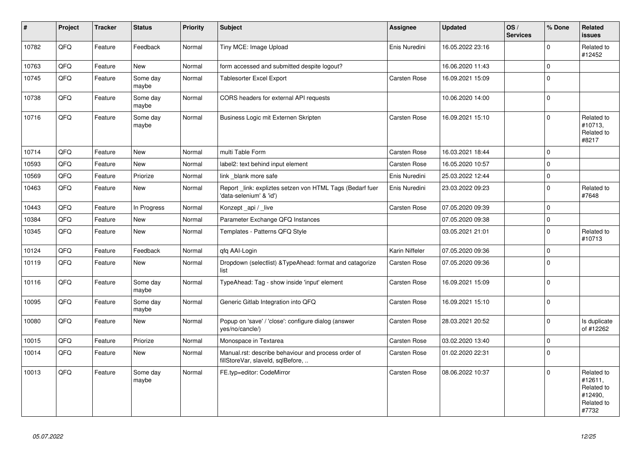| #     | Project | <b>Tracker</b> | <b>Status</b>     | <b>Priority</b> | <b>Subject</b>                                                                           | Assignee            | <b>Updated</b>   | OS/<br><b>Services</b> | % Done         | Related<br><b>issues</b>                                              |
|-------|---------|----------------|-------------------|-----------------|------------------------------------------------------------------------------------------|---------------------|------------------|------------------------|----------------|-----------------------------------------------------------------------|
| 10782 | QFQ     | Feature        | Feedback          | Normal          | Tiny MCE: Image Upload                                                                   | Enis Nuredini       | 16.05.2022 23:16 |                        | $\Omega$       | Related to<br>#12452                                                  |
| 10763 | QFQ     | Feature        | <b>New</b>        | Normal          | form accessed and submitted despite logout?                                              |                     | 16.06.2020 11:43 |                        | $\mathbf 0$    |                                                                       |
| 10745 | QFQ     | Feature        | Some day<br>maybe | Normal          | <b>Tablesorter Excel Export</b>                                                          | Carsten Rose        | 16.09.2021 15:09 |                        | $\mathbf 0$    |                                                                       |
| 10738 | QFQ     | Feature        | Some day<br>maybe | Normal          | CORS headers for external API requests                                                   |                     | 10.06.2020 14:00 |                        | $\mathbf 0$    |                                                                       |
| 10716 | QFQ     | Feature        | Some day<br>maybe | Normal          | Business Logic mit Externen Skripten                                                     | <b>Carsten Rose</b> | 16.09.2021 15:10 |                        | $\Omega$       | Related to<br>#10713,<br>Related to<br>#8217                          |
| 10714 | QFQ     | Feature        | <b>New</b>        | Normal          | multi Table Form                                                                         | <b>Carsten Rose</b> | 16.03.2021 18:44 |                        | $\overline{0}$ |                                                                       |
| 10593 | QFQ     | Feature        | New               | Normal          | label2: text behind input element                                                        | Carsten Rose        | 16.05.2020 10:57 |                        | $\Omega$       |                                                                       |
| 10569 | QFQ     | Feature        | Priorize          | Normal          | link blank more safe                                                                     | Enis Nuredini       | 25.03.2022 12:44 |                        | $\Omega$       |                                                                       |
| 10463 | QFQ     | Feature        | New               | Normal          | Report_link: expliztes setzen von HTML Tags (Bedarf fuer<br>'data-selenium' & 'id')      | Enis Nuredini       | 23.03.2022 09:23 |                        | $\Omega$       | Related to<br>#7648                                                   |
| 10443 | QFQ     | Feature        | In Progress       | Normal          | Konzept api / live                                                                       | <b>Carsten Rose</b> | 07.05.2020 09:39 |                        | $\Omega$       |                                                                       |
| 10384 | QFQ     | Feature        | <b>New</b>        | Normal          | Parameter Exchange QFQ Instances                                                         |                     | 07.05.2020 09:38 |                        | $\mathbf 0$    |                                                                       |
| 10345 | QFQ     | Feature        | <b>New</b>        | Normal          | Templates - Patterns QFQ Style                                                           |                     | 03.05.2021 21:01 |                        | $\Omega$       | Related to<br>#10713                                                  |
| 10124 | QFQ     | Feature        | Feedback          | Normal          | qfq AAI-Login                                                                            | Karin Niffeler      | 07.05.2020 09:36 |                        | $\Omega$       |                                                                       |
| 10119 | QFQ     | Feature        | New               | Normal          | Dropdown (selectlist) & Type Ahead: format and catagorize<br>list                        | <b>Carsten Rose</b> | 07.05.2020 09:36 |                        | $\Omega$       |                                                                       |
| 10116 | QFQ     | Feature        | Some day<br>maybe | Normal          | TypeAhead: Tag - show inside 'input' element                                             | Carsten Rose        | 16.09.2021 15:09 |                        | $\Omega$       |                                                                       |
| 10095 | QFQ     | Feature        | Some day<br>maybe | Normal          | Generic Gitlab Integration into QFQ                                                      | <b>Carsten Rose</b> | 16.09.2021 15:10 |                        | $\Omega$       |                                                                       |
| 10080 | QFQ     | Feature        | New               | Normal          | Popup on 'save' / 'close': configure dialog (answer<br>yes/no/cancle/)                   | Carsten Rose        | 28.03.2021 20:52 |                        | $\Omega$       | Is duplicate<br>of #12262                                             |
| 10015 | QFQ     | Feature        | Priorize          | Normal          | Monospace in Textarea                                                                    | <b>Carsten Rose</b> | 03.02.2020 13:40 |                        | $\Omega$       |                                                                       |
| 10014 | QFQ     | Feature        | New               | Normal          | Manual.rst: describe behaviour and process order of<br>fillStoreVar, slaveId, sqlBefore, | <b>Carsten Rose</b> | 01.02.2020 22:31 |                        | $\Omega$       |                                                                       |
| 10013 | QFQ     | Feature        | Some day<br>maybe | Normal          | FE.typ=editor: CodeMirror                                                                | <b>Carsten Rose</b> | 08.06.2022 10:37 |                        | $\Omega$       | Related to<br>#12611,<br>Related to<br>#12490,<br>Related to<br>#7732 |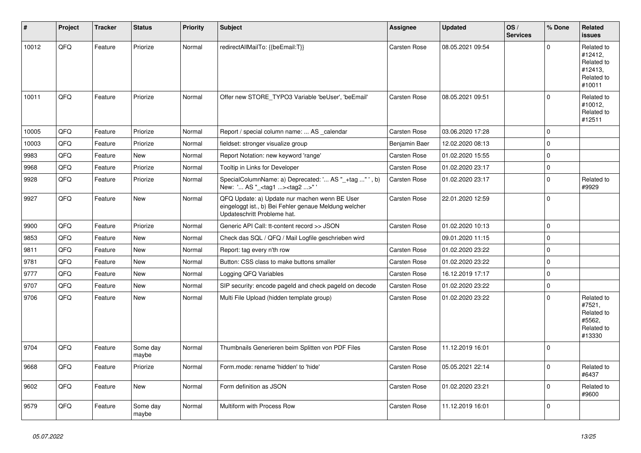| #     | Project | <b>Tracker</b> | <b>Status</b>     | <b>Priority</b> | <b>Subject</b>                                                                                                                        | Assignee            | <b>Updated</b>   | OS/<br><b>Services</b> | % Done         | Related<br>issues                                                      |
|-------|---------|----------------|-------------------|-----------------|---------------------------------------------------------------------------------------------------------------------------------------|---------------------|------------------|------------------------|----------------|------------------------------------------------------------------------|
| 10012 | QFQ     | Feature        | Priorize          | Normal          | redirectAllMailTo: {{beEmail:T}}                                                                                                      | Carsten Rose        | 08.05.2021 09:54 |                        | $\Omega$       | Related to<br>#12412,<br>Related to<br>#12413.<br>Related to<br>#10011 |
| 10011 | QFQ     | Feature        | Priorize          | Normal          | Offer new STORE TYPO3 Variable 'beUser', 'beEmail'                                                                                    | <b>Carsten Rose</b> | 08.05.2021 09:51 |                        | $\Omega$       | Related to<br>#10012,<br>Related to<br>#12511                          |
| 10005 | QFQ     | Feature        | Priorize          | Normal          | Report / special column name:  AS _calendar                                                                                           | <b>Carsten Rose</b> | 03.06.2020 17:28 |                        | $\overline{0}$ |                                                                        |
| 10003 | QFQ     | Feature        | Priorize          | Normal          | fieldset: stronger visualize group                                                                                                    | Benjamin Baer       | 12.02.2020 08:13 |                        | $\mathbf 0$    |                                                                        |
| 9983  | QFQ     | Feature        | New               | Normal          | Report Notation: new keyword 'range'                                                                                                  | <b>Carsten Rose</b> | 01.02.2020 15:55 |                        | $\overline{0}$ |                                                                        |
| 9968  | QFQ     | Feature        | Priorize          | Normal          | Tooltip in Links for Developer                                                                                                        | <b>Carsten Rose</b> | 01.02.2020 23:17 |                        | $\mathbf 0$    |                                                                        |
| 9928  | QFQ     | Feature        | Priorize          | Normal          | SpecialColumnName: a) Deprecated: ' AS "_+tag " ', b)<br>New: ' AS "_ <tag1><tag2>"</tag2></tag1>                                     | <b>Carsten Rose</b> | 01.02.2020 23:17 |                        | 0              | Related to<br>#9929                                                    |
| 9927  | QFQ     | Feature        | New               | Normal          | QFQ Update: a) Update nur machen wenn BE User<br>eingeloggt ist., b) Bei Fehler genaue Meldung welcher<br>Updateschritt Probleme hat. | <b>Carsten Rose</b> | 22.01.2020 12:59 |                        | $\Omega$       |                                                                        |
| 9900  | QFQ     | Feature        | Priorize          | Normal          | Generic API Call: tt-content record >> JSON                                                                                           | <b>Carsten Rose</b> | 01.02.2020 10:13 |                        | $\mathbf 0$    |                                                                        |
| 9853  | QFQ     | Feature        | New               | Normal          | Check das SQL / QFQ / Mail Logfile geschrieben wird                                                                                   |                     | 09.01.2020 11:15 |                        | $\mathbf 0$    |                                                                        |
| 9811  | QFQ     | Feature        | New               | Normal          | Report: tag every n'th row                                                                                                            | <b>Carsten Rose</b> | 01.02.2020 23:22 |                        | $\mathbf 0$    |                                                                        |
| 9781  | QFQ     | Feature        | New               | Normal          | Button: CSS class to make buttons smaller                                                                                             | Carsten Rose        | 01.02.2020 23:22 |                        | $\overline{0}$ |                                                                        |
| 9777  | QFQ     | Feature        | New               | Normal          | Logging QFQ Variables                                                                                                                 | <b>Carsten Rose</b> | 16.12.2019 17:17 |                        | $\mathbf{0}$   |                                                                        |
| 9707  | QFQ     | Feature        | New               | Normal          | SIP security: encode pageld and check pageld on decode                                                                                | <b>Carsten Rose</b> | 01.02.2020 23:22 |                        | $\Omega$       |                                                                        |
| 9706  | QFQ     | Feature        | New               | Normal          | Multi File Upload (hidden template group)                                                                                             | <b>Carsten Rose</b> | 01.02.2020 23:22 |                        | $\Omega$       | Related to<br>#7521,<br>Related to<br>#5562,<br>Related to<br>#13330   |
| 9704  | QFQ     | Feature        | Some day<br>maybe | Normal          | Thumbnails Generieren beim Splitten von PDF Files                                                                                     | <b>Carsten Rose</b> | 11.12.2019 16:01 |                        | $\overline{0}$ |                                                                        |
| 9668  | QFQ     | Feature        | Priorize          | Normal          | Form.mode: rename 'hidden' to 'hide'                                                                                                  | Carsten Rose        | 05.05.2021 22:14 |                        | $\Omega$       | Related to<br>#6437                                                    |
| 9602  | QFQ     | Feature        | New               | Normal          | Form definition as JSON                                                                                                               | Carsten Rose        | 01.02.2020 23:21 |                        | $\Omega$       | Related to<br>#9600                                                    |
| 9579  | QFQ     | Feature        | Some day<br>maybe | Normal          | Multiform with Process Row                                                                                                            | <b>Carsten Rose</b> | 11.12.2019 16:01 |                        | $\Omega$       |                                                                        |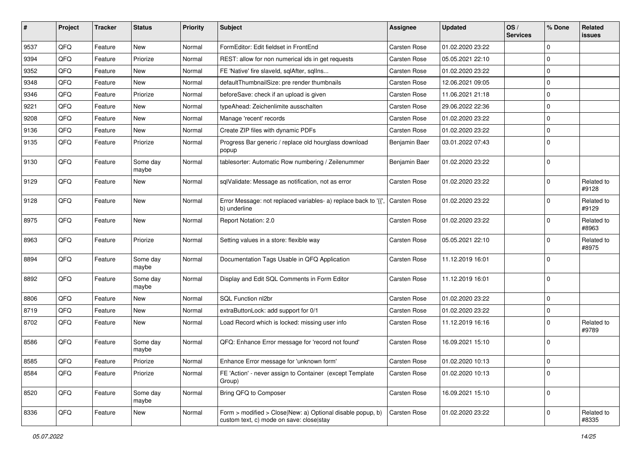| #    | Project | <b>Tracker</b> | <b>Status</b>     | <b>Priority</b> | <b>Subject</b>                                                                                         | Assignee            | <b>Updated</b>   | OS/<br><b>Services</b> | % Done         | Related<br><b>issues</b> |
|------|---------|----------------|-------------------|-----------------|--------------------------------------------------------------------------------------------------------|---------------------|------------------|------------------------|----------------|--------------------------|
| 9537 | QFQ     | Feature        | New               | Normal          | FormEditor: Edit fieldset in FrontEnd                                                                  | <b>Carsten Rose</b> | 01.02.2020 23:22 |                        | $\Omega$       |                          |
| 9394 | QFQ     | Feature        | Priorize          | Normal          | REST: allow for non numerical ids in get requests                                                      | <b>Carsten Rose</b> | 05.05.2021 22:10 |                        | 0              |                          |
| 9352 | QFQ     | Feature        | New               | Normal          | FE 'Native' fire slaveld, sqlAfter, sqlIns                                                             | <b>Carsten Rose</b> | 01.02.2020 23:22 |                        | $\Omega$       |                          |
| 9348 | QFQ     | Feature        | New               | Normal          | defaultThumbnailSize: pre render thumbnails                                                            | <b>Carsten Rose</b> | 12.06.2021 09:05 |                        | 0              |                          |
| 9346 | QFQ     | Feature        | Priorize          | Normal          | beforeSave: check if an upload is given                                                                | <b>Carsten Rose</b> | 11.06.2021 21:18 |                        | $\Omega$       |                          |
| 9221 | QFQ     | Feature        | New               | Normal          | typeAhead: Zeichenlimite ausschalten                                                                   | Carsten Rose        | 29.06.2022 22:36 |                        | $\Omega$       |                          |
| 9208 | QFQ     | Feature        | New               | Normal          | Manage 'recent' records                                                                                | <b>Carsten Rose</b> | 01.02.2020 23:22 |                        | $\Omega$       |                          |
| 9136 | QFQ     | Feature        | New               | Normal          | Create ZIP files with dynamic PDFs                                                                     | Carsten Rose        | 01.02.2020 23:22 |                        | $\Omega$       |                          |
| 9135 | QFQ     | Feature        | Priorize          | Normal          | Progress Bar generic / replace old hourglass download<br>popup                                         | Benjamin Baer       | 03.01.2022 07:43 |                        | $\Omega$       |                          |
| 9130 | QFQ     | Feature        | Some day<br>maybe | Normal          | tablesorter: Automatic Row numbering / Zeilenummer                                                     | Benjamin Baer       | 01.02.2020 23:22 |                        | $\Omega$       |                          |
| 9129 | QFQ     | Feature        | New               | Normal          | sqlValidate: Message as notification, not as error                                                     | <b>Carsten Rose</b> | 01.02.2020 23:22 |                        | $\Omega$       | Related to<br>#9128      |
| 9128 | QFQ     | Feature        | New               | Normal          | Error Message: not replaced variables- a) replace back to '{{',<br>b) underline                        | <b>Carsten Rose</b> | 01.02.2020 23:22 |                        | $\Omega$       | Related to<br>#9129      |
| 8975 | QFQ     | Feature        | New               | Normal          | Report Notation: 2.0                                                                                   | Carsten Rose        | 01.02.2020 23:22 |                        | $\Omega$       | Related to<br>#8963      |
| 8963 | QFQ     | Feature        | Priorize          | Normal          | Setting values in a store: flexible way                                                                | <b>Carsten Rose</b> | 05.05.2021 22:10 |                        | $\Omega$       | Related to<br>#8975      |
| 8894 | QFQ     | Feature        | Some day<br>maybe | Normal          | Documentation Tags Usable in QFQ Application                                                           | <b>Carsten Rose</b> | 11.12.2019 16:01 |                        | $\Omega$       |                          |
| 8892 | QFQ     | Feature        | Some day<br>maybe | Normal          | Display and Edit SQL Comments in Form Editor                                                           | <b>Carsten Rose</b> | 11.12.2019 16:01 |                        | $\Omega$       |                          |
| 8806 | QFQ     | Feature        | New               | Normal          | SQL Function nl2br                                                                                     | <b>Carsten Rose</b> | 01.02.2020 23:22 |                        | 0              |                          |
| 8719 | QFQ     | Feature        | New               | Normal          | extraButtonLock: add support for 0/1                                                                   | Carsten Rose        | 01.02.2020 23:22 |                        | 0              |                          |
| 8702 | QFQ     | Feature        | New               | Normal          | Load Record which is locked: missing user info                                                         | Carsten Rose        | 11.12.2019 16:16 |                        | $\Omega$       | Related to<br>#9789      |
| 8586 | QFQ     | Feature        | Some day<br>maybe | Normal          | QFQ: Enhance Error message for 'record not found'                                                      | <b>Carsten Rose</b> | 16.09.2021 15:10 |                        | $\Omega$       |                          |
| 8585 | QFQ     | Feature        | Priorize          | Normal          | Enhance Error message for 'unknown form'                                                               | Carsten Rose        | 01.02.2020 10:13 |                        | $\mathbf 0$    |                          |
| 8584 | QFQ     | Feature        | Priorize          | Normal          | FE 'Action' - never assign to Container (except Template<br>Group)                                     | <b>Carsten Rose</b> | 01.02.2020 10:13 |                        | $\overline{0}$ |                          |
| 8520 | QFQ     | Feature        | Some day<br>maybe | Normal          | Bring QFQ to Composer                                                                                  | Carsten Rose        | 16.09.2021 15:10 |                        | $\mathbf 0$    |                          |
| 8336 | QFQ     | Feature        | New               | Normal          | Form > modified > Close New: a) Optional disable popup, b)<br>custom text, c) mode on save: close stay | Carsten Rose        | 01.02.2020 23:22 |                        | $\mathbf 0$    | Related to<br>#8335      |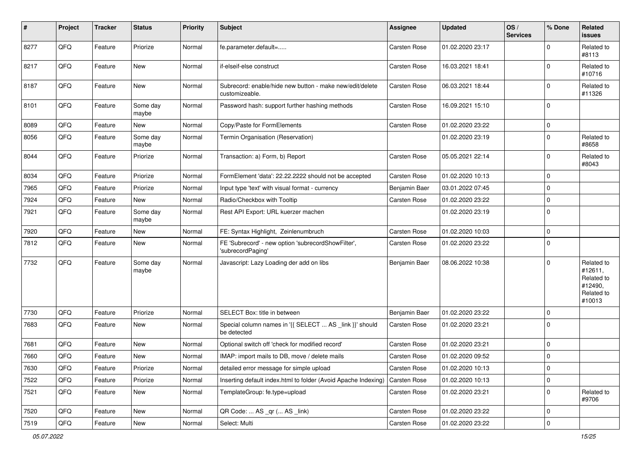| #    | Project | <b>Tracker</b> | <b>Status</b>     | <b>Priority</b> | <b>Subject</b>                                                             | <b>Assignee</b>     | <b>Updated</b>   | OS/<br><b>Services</b> | % Done      | Related<br>issues                                                      |
|------|---------|----------------|-------------------|-----------------|----------------------------------------------------------------------------|---------------------|------------------|------------------------|-------------|------------------------------------------------------------------------|
| 8277 | QFQ     | Feature        | Priorize          | Normal          | fe.parameter.default=                                                      | Carsten Rose        | 01.02.2020 23:17 |                        | $\Omega$    | Related to<br>#8113                                                    |
| 8217 | QFQ     | Feature        | New               | Normal          | if-elseif-else construct                                                   | <b>Carsten Rose</b> | 16.03.2021 18:41 |                        | $\Omega$    | Related to<br>#10716                                                   |
| 8187 | QFQ     | Feature        | New               | Normal          | Subrecord: enable/hide new button - make new/edit/delete<br>customizeable. | <b>Carsten Rose</b> | 06.03.2021 18:44 |                        | 0           | Related to<br>#11326                                                   |
| 8101 | QFQ     | Feature        | Some day<br>maybe | Normal          | Password hash: support further hashing methods                             | <b>Carsten Rose</b> | 16.09.2021 15:10 |                        | $\Omega$    |                                                                        |
| 8089 | QFQ     | Feature        | New               | Normal          | Copy/Paste for FormElements                                                | <b>Carsten Rose</b> | 01.02.2020 23:22 |                        | $\mathbf 0$ |                                                                        |
| 8056 | QFQ     | Feature        | Some day<br>maybe | Normal          | Termin Organisation (Reservation)                                          |                     | 01.02.2020 23:19 |                        | $\Omega$    | Related to<br>#8658                                                    |
| 8044 | QFQ     | Feature        | Priorize          | Normal          | Transaction: a) Form, b) Report                                            | <b>Carsten Rose</b> | 05.05.2021 22:14 |                        | 0           | Related to<br>#8043                                                    |
| 8034 | QFQ     | Feature        | Priorize          | Normal          | FormElement 'data': 22.22.2222 should not be accepted                      | <b>Carsten Rose</b> | 01.02.2020 10:13 |                        | 0           |                                                                        |
| 7965 | QFQ     | Feature        | Priorize          | Normal          | Input type 'text' with visual format - currency                            | Benjamin Baer       | 03.01.2022 07:45 |                        | $\Omega$    |                                                                        |
| 7924 | QFQ     | Feature        | New               | Normal          | Radio/Checkbox with Tooltip                                                | <b>Carsten Rose</b> | 01.02.2020 23:22 |                        | 0           |                                                                        |
| 7921 | QFQ     | Feature        | Some day<br>maybe | Normal          | Rest API Export: URL kuerzer machen                                        |                     | 01.02.2020 23:19 |                        | $\mathbf 0$ |                                                                        |
| 7920 | QFQ     | Feature        | New               | Normal          | FE: Syntax Highlight, Zeinlenumbruch                                       | <b>Carsten Rose</b> | 01.02.2020 10:03 |                        | 0           |                                                                        |
| 7812 | QFQ     | Feature        | New               | Normal          | FE 'Subrecord' - new option 'subrecordShowFilter',<br>'subrecordPaging'    | <b>Carsten Rose</b> | 01.02.2020 23:22 |                        | 0           |                                                                        |
| 7732 | QFQ     | Feature        | Some day<br>maybe | Normal          | Javascript: Lazy Loading der add on libs                                   | Benjamin Baer       | 08.06.2022 10:38 |                        | $\Omega$    | Related to<br>#12611,<br>Related to<br>#12490,<br>Related to<br>#10013 |
| 7730 | QFQ     | Feature        | Priorize          | Normal          | SELECT Box: title in between                                               | Benjamin Baer       | 01.02.2020 23:22 |                        | 0           |                                                                        |
| 7683 | QFQ     | Feature        | New               | Normal          | Special column names in '{{ SELECT  AS _link }}' should<br>be detected     | <b>Carsten Rose</b> | 01.02.2020 23:21 |                        | $\Omega$    |                                                                        |
| 7681 | QFQ     | Feature        | New               | Normal          | Optional switch off 'check for modified record'                            | Carsten Rose        | 01.02.2020 23:21 |                        | $\mathbf 0$ |                                                                        |
| 7660 | QFQ     | Feature        | New               | Normal          | IMAP: import mails to DB, move / delete mails                              | <b>Carsten Rose</b> | 01.02.2020 09:52 |                        | 0           |                                                                        |
| 7630 | QFQ     | Feature        | Priorize          | Normal          | detailed error message for simple upload                                   | Carsten Rose        | 01.02.2020 10:13 |                        | 0           |                                                                        |
| 7522 | QFQ     | Feature        | Priorize          | Normal          | Inserting default index.html to folder (Avoid Apache Indexing)             | Carsten Rose        | 01.02.2020 10:13 |                        | 0           |                                                                        |
| 7521 | QFQ     | Feature        | New               | Normal          | TemplateGroup: fe.type=upload                                              | Carsten Rose        | 01.02.2020 23:21 |                        | 0           | Related to<br>#9706                                                    |
| 7520 | QFQ     | Feature        | New               | Normal          | QR Code:  AS _qr ( AS _link)                                               | Carsten Rose        | 01.02.2020 23:22 |                        | 0           |                                                                        |
| 7519 | QFQ     | Feature        | New               | Normal          | Select: Multi                                                              | Carsten Rose        | 01.02.2020 23:22 |                        | 0           |                                                                        |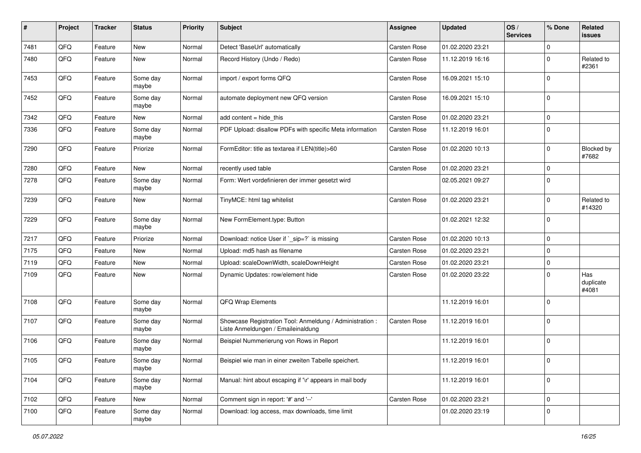| #    | Project        | <b>Tracker</b> | <b>Status</b>     | <b>Priority</b> | <b>Subject</b>                                                                                 | <b>Assignee</b>     | <b>Updated</b>   | OS/<br><b>Services</b> | % Done      | Related<br>issues         |
|------|----------------|----------------|-------------------|-----------------|------------------------------------------------------------------------------------------------|---------------------|------------------|------------------------|-------------|---------------------------|
| 7481 | QFQ            | Feature        | New               | Normal          | Detect 'BaseUrl' automatically                                                                 | <b>Carsten Rose</b> | 01.02.2020 23:21 |                        | $\mathbf 0$ |                           |
| 7480 | QFQ            | Feature        | <b>New</b>        | Normal          | Record History (Undo / Redo)                                                                   | <b>Carsten Rose</b> | 11.12.2019 16:16 |                        | $\mathbf 0$ | Related to<br>#2361       |
| 7453 | QFQ            | Feature        | Some day<br>maybe | Normal          | import / export forms QFQ                                                                      | Carsten Rose        | 16.09.2021 15:10 |                        | $\mathbf 0$ |                           |
| 7452 | QFQ            | Feature        | Some day<br>maybe | Normal          | automate deployment new QFQ version                                                            | <b>Carsten Rose</b> | 16.09.2021 15:10 |                        | $\mathbf 0$ |                           |
| 7342 | QFQ            | Feature        | New               | Normal          | add content = hide_this                                                                        | Carsten Rose        | 01.02.2020 23:21 |                        | $\mathbf 0$ |                           |
| 7336 | QFQ            | Feature        | Some day<br>maybe | Normal          | PDF Upload: disallow PDFs with specific Meta information                                       | <b>Carsten Rose</b> | 11.12.2019 16:01 |                        | $\mathbf 0$ |                           |
| 7290 | QFQ            | Feature        | Priorize          | Normal          | FormEditor: title as textarea if LEN(title)>60                                                 | <b>Carsten Rose</b> | 01.02.2020 10:13 |                        | $\mathbf 0$ | Blocked by<br>#7682       |
| 7280 | QFQ            | Feature        | <b>New</b>        | Normal          | recently used table                                                                            | <b>Carsten Rose</b> | 01.02.2020 23:21 |                        | $\mathbf 0$ |                           |
| 7278 | QFQ            | Feature        | Some day<br>maybe | Normal          | Form: Wert vordefinieren der immer gesetzt wird                                                |                     | 02.05.2021 09:27 |                        | $\mathbf 0$ |                           |
| 7239 | QFQ            | Feature        | New               | Normal          | TinyMCE: html tag whitelist                                                                    | <b>Carsten Rose</b> | 01.02.2020 23:21 |                        | $\mathbf 0$ | Related to<br>#14320      |
| 7229 | QFQ            | Feature        | Some day<br>maybe | Normal          | New FormElement.type: Button                                                                   |                     | 01.02.2021 12:32 |                        | $\mathbf 0$ |                           |
| 7217 | QFQ            | Feature        | Priorize          | Normal          | Download: notice User if `_sip=?` is missing                                                   | <b>Carsten Rose</b> | 01.02.2020 10:13 |                        | $\mathbf 0$ |                           |
| 7175 | QFQ            | Feature        | <b>New</b>        | Normal          | Upload: md5 hash as filename                                                                   | <b>Carsten Rose</b> | 01.02.2020 23:21 |                        | 0           |                           |
| 7119 | QFQ            | Feature        | New               | Normal          | Upload: scaleDownWidth, scaleDownHeight                                                        | <b>Carsten Rose</b> | 01.02.2020 23:21 |                        | 0           |                           |
| 7109 | QFQ            | Feature        | <b>New</b>        | Normal          | Dynamic Updates: row/element hide                                                              | <b>Carsten Rose</b> | 01.02.2020 23:22 |                        | $\mathbf 0$ | Has<br>duplicate<br>#4081 |
| 7108 | QFQ            | Feature        | Some day<br>maybe | Normal          | QFQ Wrap Elements                                                                              |                     | 11.12.2019 16:01 |                        | $\mathbf 0$ |                           |
| 7107 | QFQ            | Feature        | Some day<br>maybe | Normal          | Showcase Registration Tool: Anmeldung / Administration :<br>Liste Anmeldungen / Emaileinaldung | <b>Carsten Rose</b> | 11.12.2019 16:01 |                        | $\mathbf 0$ |                           |
| 7106 | QFQ            | Feature        | Some day<br>maybe | Normal          | Beispiel Nummerierung von Rows in Report                                                       |                     | 11.12.2019 16:01 |                        | $\mathbf 0$ |                           |
| 7105 | QFQ            | Feature        | Some day<br>maybe | Normal          | Beispiel wie man in einer zweiten Tabelle speichert.                                           |                     | 11.12.2019 16:01 |                        | 0           |                           |
| 7104 | QFQ            | Feature        | Some day<br>maybe | Normal          | Manual: hint about escaping if '\r' appears in mail body                                       |                     | 11.12.2019 16:01 |                        | $\mathbf 0$ |                           |
| 7102 | QFQ            | Feature        | New               | Normal          | Comment sign in report: '#' and '--'                                                           | Carsten Rose        | 01.02.2020 23:21 |                        | 0           |                           |
| 7100 | $\mathsf{QFQ}$ | Feature        | Some day<br>maybe | Normal          | Download: log access, max downloads, time limit                                                |                     | 01.02.2020 23:19 |                        | 0           |                           |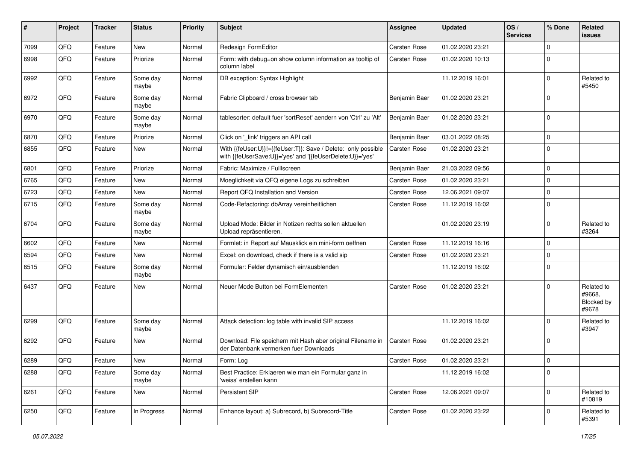| #    | Project | <b>Tracker</b> | <b>Status</b>     | <b>Priority</b> | <b>Subject</b>                                                                                                             | <b>Assignee</b>     | <b>Updated</b>   | OS/<br><b>Services</b> | % Done         | Related<br>issues                           |
|------|---------|----------------|-------------------|-----------------|----------------------------------------------------------------------------------------------------------------------------|---------------------|------------------|------------------------|----------------|---------------------------------------------|
| 7099 | QFQ     | Feature        | <b>New</b>        | Normal          | Redesign FormEditor                                                                                                        | Carsten Rose        | 01.02.2020 23:21 |                        | $\Omega$       |                                             |
| 6998 | QFQ     | Feature        | Priorize          | Normal          | Form: with debug=on show column information as tooltip of<br>column label                                                  | <b>Carsten Rose</b> | 01.02.2020 10:13 |                        | $\Omega$       |                                             |
| 6992 | QFQ     | Feature        | Some day<br>maybe | Normal          | DB exception: Syntax Highlight                                                                                             |                     | 11.12.2019 16:01 |                        | 0              | Related to<br>#5450                         |
| 6972 | QFQ     | Feature        | Some day<br>maybe | Normal          | Fabric Clipboard / cross browser tab                                                                                       | Benjamin Baer       | 01.02.2020 23:21 |                        | $\Omega$       |                                             |
| 6970 | QFQ     | Feature        | Some day<br>maybe | Normal          | tablesorter: default fuer 'sortReset' aendern von 'Ctrl' zu 'Alt'                                                          | Benjamin Baer       | 01.02.2020 23:21 |                        | $\Omega$       |                                             |
| 6870 | QFQ     | Feature        | Priorize          | Normal          | Click on '_link' triggers an API call                                                                                      | Benjamin Baer       | 03.01.2022 08:25 |                        | $\Omega$       |                                             |
| 6855 | QFQ     | Feature        | New               | Normal          | With {{feUser:U}}!={{feUser:T}}: Save / Delete: only possible<br>with {{feUserSave:U}}='yes' and '{{feUserDelete:U}}='yes' | <b>Carsten Rose</b> | 01.02.2020 23:21 |                        | 0              |                                             |
| 6801 | QFQ     | Feature        | Priorize          | Normal          | Fabric: Maximize / FullIscreen                                                                                             | Benjamin Baer       | 21.03.2022 09:56 |                        | $\Omega$       |                                             |
| 6765 | QFQ     | Feature        | New               | Normal          | Moeglichkeit via QFQ eigene Logs zu schreiben                                                                              | Carsten Rose        | 01.02.2020 23:21 |                        | $\Omega$       |                                             |
| 6723 | QFQ     | Feature        | New               | Normal          | Report QFQ Installation and Version                                                                                        | <b>Carsten Rose</b> | 12.06.2021 09:07 |                        | 0              |                                             |
| 6715 | QFQ     | Feature        | Some day<br>maybe | Normal          | Code-Refactoring: dbArray vereinheitlichen                                                                                 | <b>Carsten Rose</b> | 11.12.2019 16:02 |                        | $\Omega$       |                                             |
| 6704 | QFQ     | Feature        | Some day<br>maybe | Normal          | Upload Mode: Bilder in Notizen rechts sollen aktuellen<br>Upload repräsentieren.                                           |                     | 01.02.2020 23:19 |                        | $\Omega$       | Related to<br>#3264                         |
| 6602 | QFQ     | Feature        | <b>New</b>        | Normal          | Formlet: in Report auf Mausklick ein mini-form oeffnen                                                                     | <b>Carsten Rose</b> | 11.12.2019 16:16 |                        | $\Omega$       |                                             |
| 6594 | QFQ     | Feature        | New               | Normal          | Excel: on download, check if there is a valid sip                                                                          | <b>Carsten Rose</b> | 01.02.2020 23:21 |                        | $\Omega$       |                                             |
| 6515 | QFQ     | Feature        | Some day<br>maybe | Normal          | Formular: Felder dynamisch ein/ausblenden                                                                                  |                     | 11.12.2019 16:02 |                        | $\Omega$       |                                             |
| 6437 | QFQ     | Feature        | New               | Normal          | Neuer Mode Button bei FormElementen                                                                                        | <b>Carsten Rose</b> | 01.02.2020 23:21 |                        | $\Omega$       | Related to<br>#9668,<br>Blocked by<br>#9678 |
| 6299 | QFQ     | Feature        | Some dav<br>maybe | Normal          | Attack detection: log table with invalid SIP access                                                                        |                     | 11.12.2019 16:02 |                        | $\Omega$       | Related to<br>#3947                         |
| 6292 | QFQ     | Feature        | New               | Normal          | Download: File speichern mit Hash aber original Filename in<br>der Datenbank vermerken fuer Downloads                      | <b>Carsten Rose</b> | 01.02.2020 23:21 |                        | $\Omega$       |                                             |
| 6289 | QFQ     | Feature        | New               | Normal          | Form: Log                                                                                                                  | Carsten Rose        | 01.02.2020 23:21 |                        | $\overline{0}$ |                                             |
| 6288 | QFQ     | Feature        | Some day<br>maybe | Normal          | Best Practice: Erklaeren wie man ein Formular ganz in<br>'weiss' erstellen kann                                            |                     | 11.12.2019 16:02 |                        | 0              |                                             |
| 6261 | QFQ     | Feature        | New               | Normal          | Persistent SIP                                                                                                             | Carsten Rose        | 12.06.2021 09:07 |                        | $\Omega$       | Related to<br>#10819                        |
| 6250 | QFQ     | Feature        | In Progress       | Normal          | Enhance layout: a) Subrecord, b) Subrecord-Title                                                                           | Carsten Rose        | 01.02.2020 23:22 |                        | 0              | Related to<br>#5391                         |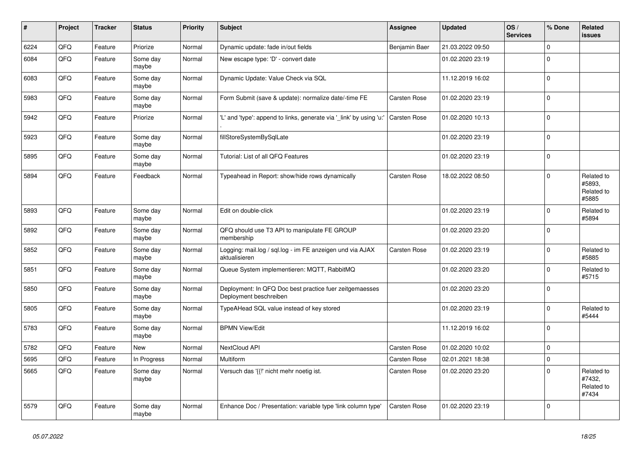| #    | Project | <b>Tracker</b> | <b>Status</b>     | <b>Priority</b> | <b>Subject</b>                                                                    | <b>Assignee</b>     | <b>Updated</b>   | OS/<br><b>Services</b> | % Done      | <b>Related</b><br><b>issues</b>             |
|------|---------|----------------|-------------------|-----------------|-----------------------------------------------------------------------------------|---------------------|------------------|------------------------|-------------|---------------------------------------------|
| 6224 | QFQ     | Feature        | Priorize          | Normal          | Dynamic update: fade in/out fields                                                | Benjamin Baer       | 21.03.2022 09:50 |                        | $\Omega$    |                                             |
| 6084 | QFQ     | Feature        | Some day<br>maybe | Normal          | New escape type: 'D' - convert date                                               |                     | 01.02.2020 23:19 |                        | $\Omega$    |                                             |
| 6083 | QFQ     | Feature        | Some day<br>maybe | Normal          | Dynamic Update: Value Check via SQL                                               |                     | 11.12.2019 16:02 |                        | $\Omega$    |                                             |
| 5983 | QFQ     | Feature        | Some day<br>maybe | Normal          | Form Submit (save & update): normalize date/-time FE                              | Carsten Rose        | 01.02.2020 23:19 |                        | $\Omega$    |                                             |
| 5942 | QFQ     | Feature        | Priorize          | Normal          | 'L' and 'type': append to links, generate via '_link' by using 'u:'               | <b>Carsten Rose</b> | 01.02.2020 10:13 |                        | $\Omega$    |                                             |
| 5923 | QFQ     | Feature        | Some day<br>maybe | Normal          | fillStoreSystemBySqlLate                                                          |                     | 01.02.2020 23:19 |                        | $\mathbf 0$ |                                             |
| 5895 | QFQ     | Feature        | Some day<br>maybe | Normal          | Tutorial: List of all QFQ Features                                                |                     | 01.02.2020 23:19 |                        | $\mathbf 0$ |                                             |
| 5894 | QFQ     | Feature        | Feedback          | Normal          | Typeahead in Report: show/hide rows dynamically                                   | <b>Carsten Rose</b> | 18.02.2022 08:50 |                        | $\Omega$    | Related to<br>#5893.<br>Related to<br>#5885 |
| 5893 | QFQ     | Feature        | Some day<br>maybe | Normal          | Edit on double-click                                                              |                     | 01.02.2020 23:19 |                        | $\Omega$    | Related to<br>#5894                         |
| 5892 | QFQ     | Feature        | Some day<br>maybe | Normal          | QFQ should use T3 API to manipulate FE GROUP<br>membership                        |                     | 01.02.2020 23:20 |                        | $\Omega$    |                                             |
| 5852 | QFQ     | Feature        | Some day<br>maybe | Normal          | Logging: mail.log / sql.log - im FE anzeigen und via AJAX<br>aktualisieren        | <b>Carsten Rose</b> | 01.02.2020 23:19 |                        | $\Omega$    | Related to<br>#5885                         |
| 5851 | QFQ     | Feature        | Some day<br>maybe | Normal          | Queue System implementieren: MQTT, RabbitMQ                                       |                     | 01.02.2020 23:20 |                        | $\Omega$    | Related to<br>#5715                         |
| 5850 | QFQ     | Feature        | Some day<br>maybe | Normal          | Deployment: In QFQ Doc best practice fuer zeitgemaesses<br>Deployment beschreiben |                     | 01.02.2020 23:20 |                        | $\Omega$    |                                             |
| 5805 | QFQ     | Feature        | Some day<br>maybe | Normal          | TypeAHead SQL value instead of key stored                                         |                     | 01.02.2020 23:19 |                        | $\Omega$    | Related to<br>#5444                         |
| 5783 | QFQ     | Feature        | Some day<br>maybe | Normal          | <b>BPMN View/Edit</b>                                                             |                     | 11.12.2019 16:02 |                        | $\mathbf 0$ |                                             |
| 5782 | QFQ     | Feature        | <b>New</b>        | Normal          | NextCloud API                                                                     | Carsten Rose        | 01.02.2020 10:02 |                        | $\Omega$    |                                             |
| 5695 | QFQ     | Feature        | In Progress       | Normal          | Multiform                                                                         | Carsten Rose        | 02.01.2021 18:38 |                        | $\Omega$    |                                             |
| 5665 | QFQ     | Feature        | Some day<br>maybe | Normal          | Versuch das '{{!' nicht mehr noetig ist.                                          | Carsten Rose        | 01.02.2020 23:20 |                        | $\Omega$    | Related to<br>#7432,<br>Related to<br>#7434 |
| 5579 | QFQ     | Feature        | Some day<br>maybe | Normal          | Enhance Doc / Presentation: variable type 'link column type'                      | Carsten Rose        | 01.02.2020 23:19 |                        | $\Omega$    |                                             |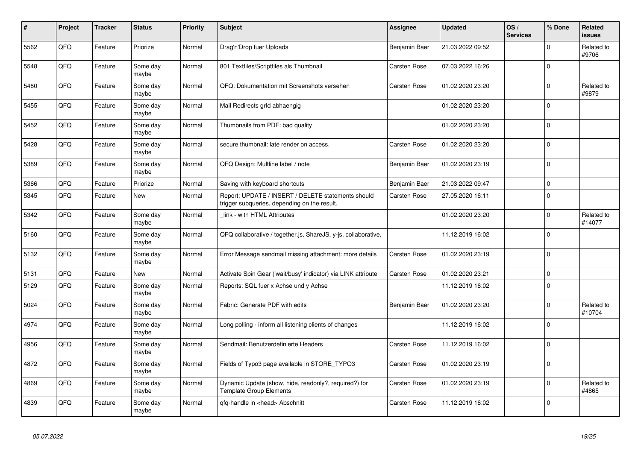| $\pmb{\#}$ | Project | <b>Tracker</b> | <b>Status</b>     | <b>Priority</b> | <b>Subject</b>                                                                                     | <b>Assignee</b>     | <b>Updated</b>   | OS/<br><b>Services</b> | % Done      | <b>Related</b><br><b>issues</b> |
|------------|---------|----------------|-------------------|-----------------|----------------------------------------------------------------------------------------------------|---------------------|------------------|------------------------|-------------|---------------------------------|
| 5562       | QFQ     | Feature        | Priorize          | Normal          | Drag'n'Drop fuer Uploads                                                                           | Benjamin Baer       | 21.03.2022 09:52 |                        | $\Omega$    | Related to<br>#9706             |
| 5548       | QFQ     | Feature        | Some day<br>maybe | Normal          | 801 Textfiles/Scriptfiles als Thumbnail                                                            | <b>Carsten Rose</b> | 07.03.2022 16:26 |                        | $\Omega$    |                                 |
| 5480       | QFQ     | Feature        | Some day<br>maybe | Normal          | QFQ: Dokumentation mit Screenshots versehen                                                        | Carsten Rose        | 01.02.2020 23:20 |                        | $\Omega$    | Related to<br>#9879             |
| 5455       | QFQ     | Feature        | Some day<br>maybe | Normal          | Mail Redirects grld abhaengig                                                                      |                     | 01.02.2020 23:20 |                        | $\Omega$    |                                 |
| 5452       | QFQ     | Feature        | Some day<br>maybe | Normal          | Thumbnails from PDF: bad quality                                                                   |                     | 01.02.2020 23:20 |                        | $\Omega$    |                                 |
| 5428       | QFQ     | Feature        | Some day<br>maybe | Normal          | secure thumbnail: late render on access.                                                           | <b>Carsten Rose</b> | 01.02.2020 23:20 |                        | $\Omega$    |                                 |
| 5389       | QFQ     | Feature        | Some day<br>maybe | Normal          | QFQ Design: Multline label / note                                                                  | Benjamin Baer       | 01.02.2020 23:19 |                        | $\Omega$    |                                 |
| 5366       | QFQ     | Feature        | Priorize          | Normal          | Saving with keyboard shortcuts                                                                     | Benjamin Baer       | 21.03.2022 09:47 |                        | $\mathbf 0$ |                                 |
| 5345       | QFQ     | Feature        | New               | Normal          | Report: UPDATE / INSERT / DELETE statements should<br>trigger subqueries, depending on the result. | Carsten Rose        | 27.05.2020 16:11 |                        | $\mathbf 0$ |                                 |
| 5342       | QFQ     | Feature        | Some day<br>maybe | Normal          | link - with HTML Attributes                                                                        |                     | 01.02.2020 23:20 |                        | $\Omega$    | Related to<br>#14077            |
| 5160       | QFQ     | Feature        | Some day<br>maybe | Normal          | QFQ collaborative / together.js, ShareJS, y-js, collaborative,                                     |                     | 11.12.2019 16:02 |                        | $\Omega$    |                                 |
| 5132       | QFQ     | Feature        | Some day<br>maybe | Normal          | Error Message sendmail missing attachment: more details                                            | <b>Carsten Rose</b> | 01.02.2020 23:19 |                        | $\Omega$    |                                 |
| 5131       | QFQ     | Feature        | <b>New</b>        | Normal          | Activate Spin Gear ('wait/busy' indicator) via LINK attribute                                      | <b>Carsten Rose</b> | 01.02.2020 23:21 |                        | $\mathbf 0$ |                                 |
| 5129       | QFQ     | Feature        | Some day<br>maybe | Normal          | Reports: SQL fuer x Achse und y Achse                                                              |                     | 11.12.2019 16:02 |                        | $\Omega$    |                                 |
| 5024       | QFQ     | Feature        | Some day<br>maybe | Normal          | Fabric: Generate PDF with edits                                                                    | Benjamin Baer       | 01.02.2020 23:20 |                        | $\mathbf 0$ | Related to<br>#10704            |
| 4974       | QFQ     | Feature        | Some day<br>maybe | Normal          | Long polling - inform all listening clients of changes                                             |                     | 11.12.2019 16:02 |                        | $\Omega$    |                                 |
| 4956       | QFQ     | Feature        | Some day<br>maybe | Normal          | Sendmail: Benutzerdefinierte Headers                                                               | Carsten Rose        | 11.12.2019 16:02 |                        | $\Omega$    |                                 |
| 4872       | QFQ     | Feature        | Some day<br>maybe | Normal          | Fields of Typo3 page available in STORE_TYPO3                                                      | <b>Carsten Rose</b> | 01.02.2020 23:19 |                        | $\Omega$    |                                 |
| 4869       | QFQ     | Feature        | Some day<br>maybe | Normal          | Dynamic Update (show, hide, readonly?, required?) for<br>Template Group Elements                   | <b>Carsten Rose</b> | 01.02.2020 23:19 |                        | $\Omega$    | Related to<br>#4865             |
| 4839       | QFQ     | Feature        | Some day<br>maybe | Normal          | qfq-handle in <head> Abschnitt</head>                                                              | Carsten Rose        | 11.12.2019 16:02 |                        | $\Omega$    |                                 |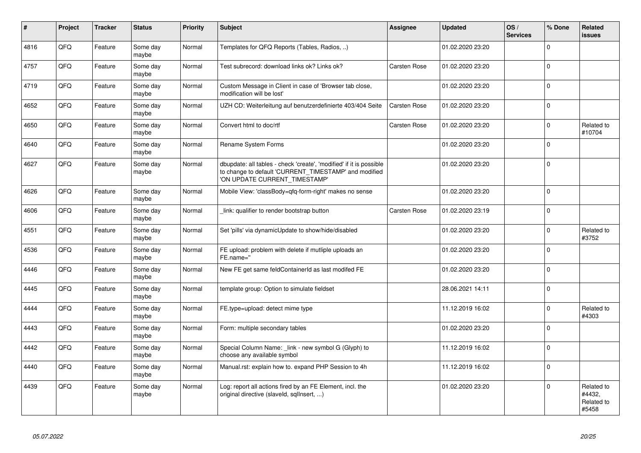| $\vert$ # | Project | <b>Tracker</b> | <b>Status</b>     | <b>Priority</b> | Subject                                                                                                                                                       | <b>Assignee</b>     | <b>Updated</b>   | OS/<br><b>Services</b> | % Done      | Related<br><b>issues</b>                    |
|-----------|---------|----------------|-------------------|-----------------|---------------------------------------------------------------------------------------------------------------------------------------------------------------|---------------------|------------------|------------------------|-------------|---------------------------------------------|
| 4816      | QFQ     | Feature        | Some day<br>maybe | Normal          | Templates for QFQ Reports (Tables, Radios, )                                                                                                                  |                     | 01.02.2020 23:20 |                        | $\Omega$    |                                             |
| 4757      | QFQ     | Feature        | Some day<br>maybe | Normal          | Test subrecord: download links ok? Links ok?                                                                                                                  | Carsten Rose        | 01.02.2020 23:20 |                        | $\Omega$    |                                             |
| 4719      | QFQ     | Feature        | Some day<br>maybe | Normal          | Custom Message in Client in case of 'Browser tab close,<br>modification will be lost'                                                                         |                     | 01.02.2020 23:20 |                        | $\Omega$    |                                             |
| 4652      | QFQ     | Feature        | Some day<br>maybe | Normal          | UZH CD: Weiterleitung auf benutzerdefinierte 403/404 Seite                                                                                                    | <b>Carsten Rose</b> | 01.02.2020 23:20 |                        | $\Omega$    |                                             |
| 4650      | QFQ     | Feature        | Some day<br>maybe | Normal          | Convert html to doc/rtf                                                                                                                                       | Carsten Rose        | 01.02.2020 23:20 |                        | $\Omega$    | Related to<br>#10704                        |
| 4640      | QFQ     | Feature        | Some day<br>maybe | Normal          | Rename System Forms                                                                                                                                           |                     | 01.02.2020 23:20 |                        | $\Omega$    |                                             |
| 4627      | QFQ     | Feature        | Some day<br>maybe | Normal          | dbupdate: all tables - check 'create', 'modified' if it is possible<br>to change to default 'CURRENT_TIMESTAMP' and modified<br>'ON UPDATE CURRENT_TIMESTAMP' |                     | 01.02.2020 23:20 |                        | $\Omega$    |                                             |
| 4626      | QFQ     | Feature        | Some day<br>maybe | Normal          | Mobile View: 'classBody=qfq-form-right' makes no sense                                                                                                        |                     | 01.02.2020 23:20 |                        | $\Omega$    |                                             |
| 4606      | QFQ     | Feature        | Some day<br>maybe | Normal          | link: qualifier to render bootstrap button                                                                                                                    | <b>Carsten Rose</b> | 01.02.2020 23:19 |                        | $\Omega$    |                                             |
| 4551      | QFQ     | Feature        | Some day<br>maybe | Normal          | Set 'pills' via dynamicUpdate to show/hide/disabled                                                                                                           |                     | 01.02.2020 23:20 |                        | $\mathbf 0$ | Related to<br>#3752                         |
| 4536      | QFQ     | Feature        | Some day<br>maybe | Normal          | FE upload: problem with delete if mutliple uploads an<br>FE.name="                                                                                            |                     | 01.02.2020 23:20 |                        | $\Omega$    |                                             |
| 4446      | QFQ     | Feature        | Some day<br>maybe | Normal          | New FE get same feldContainerId as last modifed FE                                                                                                            |                     | 01.02.2020 23:20 |                        | $\Omega$    |                                             |
| 4445      | QFQ     | Feature        | Some day<br>maybe | Normal          | template group: Option to simulate fieldset                                                                                                                   |                     | 28.06.2021 14:11 |                        | $\Omega$    |                                             |
| 4444      | QFQ     | Feature        | Some day<br>maybe | Normal          | FE.type=upload: detect mime type                                                                                                                              |                     | 11.12.2019 16:02 |                        | $\mathbf 0$ | Related to<br>#4303                         |
| 4443      | QFQ     | Feature        | Some day<br>maybe | Normal          | Form: multiple secondary tables                                                                                                                               |                     | 01.02.2020 23:20 |                        | $\Omega$    |                                             |
| 4442      | QFQ     | Feature        | Some day<br>maybe | Normal          | Special Column Name: link - new symbol G (Glyph) to<br>choose any available symbol                                                                            |                     | 11.12.2019 16:02 |                        | $\mathbf 0$ |                                             |
| 4440      | QFQ     | Feature        | Some day<br>maybe | Normal          | Manual.rst: explain how to. expand PHP Session to 4h                                                                                                          |                     | 11.12.2019 16:02 |                        | $\mathbf 0$ |                                             |
| 4439      | QFQ     | Feature        | Some day<br>maybe | Normal          | Log: report all actions fired by an FE Element, incl. the<br>original directive (slaveld, sqllnsert, )                                                        |                     | 01.02.2020 23:20 |                        | $\Omega$    | Related to<br>#4432,<br>Related to<br>#5458 |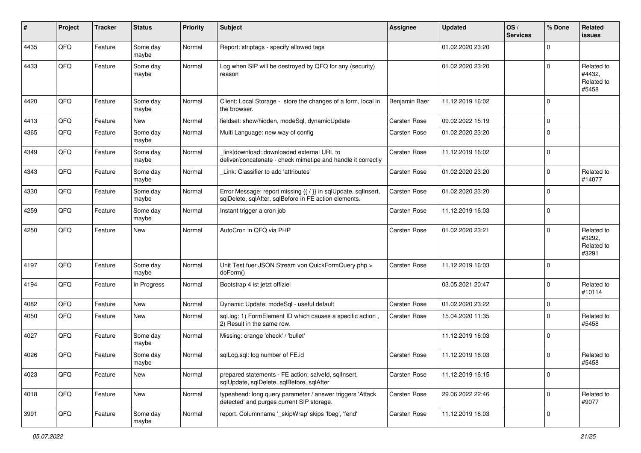| ∦    | Project | <b>Tracker</b> | <b>Status</b>     | <b>Priority</b> | <b>Subject</b>                                                                                                          | <b>Assignee</b>     | <b>Updated</b>   | OS/<br><b>Services</b> | % Done      | <b>Related</b><br>issues                    |
|------|---------|----------------|-------------------|-----------------|-------------------------------------------------------------------------------------------------------------------------|---------------------|------------------|------------------------|-------------|---------------------------------------------|
| 4435 | QFQ     | Feature        | Some day<br>maybe | Normal          | Report: striptags - specify allowed tags                                                                                |                     | 01.02.2020 23:20 |                        | $\Omega$    |                                             |
| 4433 | QFQ     | Feature        | Some day<br>maybe | Normal          | Log when SIP will be destroyed by QFQ for any (security)<br>reason                                                      |                     | 01.02.2020 23:20 |                        | $\Omega$    | Related to<br>#4432,<br>Related to<br>#5458 |
| 4420 | QFQ     | Feature        | Some day<br>maybe | Normal          | Client: Local Storage - store the changes of a form, local in<br>the browser.                                           | Benjamin Baer       | 11.12.2019 16:02 |                        | $\Omega$    |                                             |
| 4413 | QFQ     | Feature        | New               | Normal          | fieldset: show/hidden, modeSql, dynamicUpdate                                                                           | <b>Carsten Rose</b> | 09.02.2022 15:19 |                        | $\Omega$    |                                             |
| 4365 | QFQ     | Feature        | Some day<br>maybe | Normal          | Multi Language: new way of config                                                                                       | Carsten Rose        | 01.02.2020 23:20 |                        | $\Omega$    |                                             |
| 4349 | QFQ     | Feature        | Some day<br>maybe | Normal          | link download: downloaded external URL to<br>deliver/concatenate - check mimetipe and handle it correctly               | <b>Carsten Rose</b> | 11.12.2019 16:02 |                        | $\Omega$    |                                             |
| 4343 | QFQ     | Feature        | Some day<br>maybe | Normal          | Link: Classifier to add 'attributes'                                                                                    | <b>Carsten Rose</b> | 01.02.2020 23:20 |                        | $\Omega$    | Related to<br>#14077                        |
| 4330 | QFQ     | Feature        | Some day<br>maybe | Normal          | Error Message: report missing {{ / }} in sqlUpdate, sqlInsert,<br>sqlDelete, sqlAfter, sqlBefore in FE action elements. | <b>Carsten Rose</b> | 01.02.2020 23:20 |                        | $\Omega$    |                                             |
| 4259 | QFQ     | Feature        | Some day<br>maybe | Normal          | Instant trigger a cron job                                                                                              | <b>Carsten Rose</b> | 11.12.2019 16:03 |                        | $\mathbf 0$ |                                             |
| 4250 | QFQ     | Feature        | New               | Normal          | AutoCron in QFQ via PHP                                                                                                 | <b>Carsten Rose</b> | 01.02.2020 23:21 |                        | $\Omega$    | Related to<br>#3292,<br>Related to<br>#3291 |
| 4197 | QFQ     | Feature        | Some day<br>maybe | Normal          | Unit Test fuer JSON Stream von QuickFormQuery.php ><br>doForm()                                                         | <b>Carsten Rose</b> | 11.12.2019 16:03 |                        | $\Omega$    |                                             |
| 4194 | QFQ     | Feature        | In Progress       | Normal          | Bootstrap 4 ist jetzt offiziel                                                                                          |                     | 03.05.2021 20:47 |                        | $\Omega$    | Related to<br>#10114                        |
| 4082 | QFQ     | Feature        | <b>New</b>        | Normal          | Dynamic Update: modeSql - useful default                                                                                | <b>Carsten Rose</b> | 01.02.2020 23:22 |                        | $\mathbf 0$ |                                             |
| 4050 | QFQ     | Feature        | <b>New</b>        | Normal          | sql.log: 1) FormElement ID which causes a specific action,<br>2) Result in the same row.                                | Carsten Rose        | 15.04.2020 11:35 |                        | $\Omega$    | Related to<br>#5458                         |
| 4027 | QFQ     | Feature        | Some day<br>maybe | Normal          | Missing: orange 'check' / 'bullet'                                                                                      |                     | 11.12.2019 16:03 |                        | $\Omega$    |                                             |
| 4026 | QFQ     | Feature        | Some day<br>maybe | Normal          | sqlLog.sql: log number of FE.id                                                                                         | <b>Carsten Rose</b> | 11.12.2019 16:03 |                        | $\Omega$    | Related to<br>#5458                         |
| 4023 | QFQ     | Feature        | New               | Normal          | prepared statements - FE action: salveld, sqllnsert,<br>sqlUpdate, sqlDelete, sqlBefore, sqlAfter                       | Carsten Rose        | 11.12.2019 16:15 |                        | 0           |                                             |
| 4018 | QFQ     | Feature        | New               | Normal          | typeahead: long query parameter / answer triggers 'Attack<br>detected' and purges current SIP storage.                  | Carsten Rose        | 29.06.2022 22:46 |                        | $\mathbf 0$ | Related to<br>#9077                         |
| 3991 | QFQ     | Feature        | Some day<br>maybe | Normal          | report: Columnname '_skipWrap' skips 'fbeg', 'fend'                                                                     | Carsten Rose        | 11.12.2019 16:03 |                        | 0           |                                             |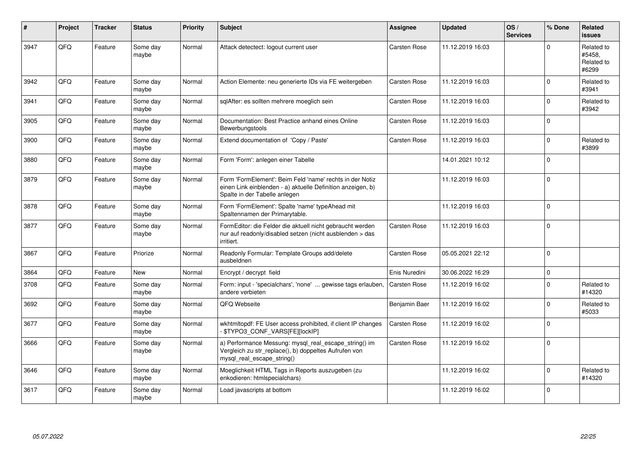| #    | Project | <b>Tracker</b> | <b>Status</b>     | <b>Priority</b> | <b>Subject</b>                                                                                                                                           | Assignee            | <b>Updated</b>   | OS/<br><b>Services</b> | % Done      | Related<br><b>issues</b>                    |
|------|---------|----------------|-------------------|-----------------|----------------------------------------------------------------------------------------------------------------------------------------------------------|---------------------|------------------|------------------------|-------------|---------------------------------------------|
| 3947 | QFQ     | Feature        | Some day<br>maybe | Normal          | Attack detectect: logout current user                                                                                                                    | Carsten Rose        | 11.12.2019 16:03 |                        | $\Omega$    | Related to<br>#5458.<br>Related to<br>#6299 |
| 3942 | QFQ     | Feature        | Some day<br>maybe | Normal          | Action Elemente: neu generierte IDs via FE weitergeben                                                                                                   | <b>Carsten Rose</b> | 11.12.2019 16:03 |                        | $\Omega$    | Related to<br>#3941                         |
| 3941 | QFQ     | Feature        | Some day<br>maybe | Normal          | sqlAfter: es sollten mehrere moeglich sein                                                                                                               | <b>Carsten Rose</b> | 11.12.2019 16:03 |                        | $\Omega$    | Related to<br>#3942                         |
| 3905 | QFQ     | Feature        | Some day<br>maybe | Normal          | Documentation: Best Practice anhand eines Online<br>Bewerbungstools                                                                                      | Carsten Rose        | 11.12.2019 16:03 |                        | $\Omega$    |                                             |
| 3900 | QFQ     | Feature        | Some day<br>maybe | Normal          | Extend documentation of 'Copy / Paste'                                                                                                                   | <b>Carsten Rose</b> | 11.12.2019 16:03 |                        | $\Omega$    | Related to<br>#3899                         |
| 3880 | QFQ     | Feature        | Some day<br>maybe | Normal          | Form 'Form': anlegen einer Tabelle                                                                                                                       |                     | 14.01.2021 10:12 |                        | $\Omega$    |                                             |
| 3879 | QFQ     | Feature        | Some day<br>maybe | Normal          | Form 'FormElement': Beim Feld 'name' rechts in der Notiz<br>einen Link einblenden - a) aktuelle Definition anzeigen, b)<br>Spalte in der Tabelle anlegen |                     | 11.12.2019 16:03 |                        | $\Omega$    |                                             |
| 3878 | QFQ     | Feature        | Some day<br>maybe | Normal          | Form 'FormElement': Spalte 'name' typeAhead mit<br>Spaltennamen der Primarytable.                                                                        |                     | 11.12.2019 16:03 |                        | $\Omega$    |                                             |
| 3877 | QFQ     | Feature        | Some day<br>maybe | Normal          | FormEditor: die Felder die aktuell nicht gebraucht werden<br>nur auf readonly/disabled setzen (nicht ausblenden > das<br>irritiert.                      | Carsten Rose        | 11.12.2019 16:03 |                        | $\Omega$    |                                             |
| 3867 | QFQ     | Feature        | Priorize          | Normal          | Readonly Formular: Template Groups add/delete<br>ausbeldnen                                                                                              | Carsten Rose        | 05.05.2021 22:12 |                        | $\Omega$    |                                             |
| 3864 | QFQ     | Feature        | New               | Normal          | Encrypt / decrypt field                                                                                                                                  | Enis Nuredini       | 30.06.2022 16:29 |                        | $\mathbf 0$ |                                             |
| 3708 | QFQ     | Feature        | Some day<br>maybe | Normal          | Form: input - 'specialchars', 'none'  gewisse tags erlauben,<br>andere verbieten                                                                         | <b>Carsten Rose</b> | 11.12.2019 16:02 |                        | $\Omega$    | Related to<br>#14320                        |
| 3692 | QFQ     | Feature        | Some day<br>maybe | Normal          | QFQ Webseite                                                                                                                                             | Benjamin Baer       | 11.12.2019 16:02 |                        | $\Omega$    | Related to<br>#5033                         |
| 3677 | QFQ     | Feature        | Some day<br>maybe | Normal          | wkhtmitopdf: FE User access prohibited, if client IP changes<br>\$TYPO3_CONF_VARS[FE][lockIP]                                                            | <b>Carsten Rose</b> | 11.12.2019 16:02 |                        | $\Omega$    |                                             |
| 3666 | QFQ     | Feature        | Some day<br>maybe | Normal          | a) Performance Messung: mysql_real_escape_string() im<br>Vergleich zu str_replace(), b) doppeltes Aufrufen von<br>mysql_real_escape_string()             | <b>Carsten Rose</b> | 11.12.2019 16:02 |                        | $\Omega$    |                                             |
| 3646 | QFQ     | Feature        | Some day<br>maybe | Normal          | Moeglichkeit HTML Tags in Reports auszugeben (zu<br>enkodieren: htmlspecialchars)                                                                        |                     | 11.12.2019 16:02 |                        | $\Omega$    | Related to<br>#14320                        |
| 3617 | QFQ     | Feature        | Some day<br>maybe | Normal          | Load javascripts at bottom                                                                                                                               |                     | 11.12.2019 16:02 |                        | $\Omega$    |                                             |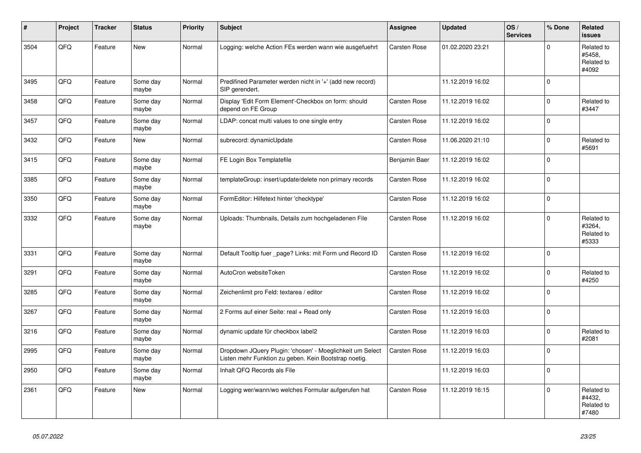| $\vert$ # | Project | <b>Tracker</b> | <b>Status</b>     | <b>Priority</b> | <b>Subject</b>                                                                                                     | <b>Assignee</b>     | <b>Updated</b>   | OS/<br><b>Services</b> | % Done      | Related<br><b>issues</b>                    |
|-----------|---------|----------------|-------------------|-----------------|--------------------------------------------------------------------------------------------------------------------|---------------------|------------------|------------------------|-------------|---------------------------------------------|
| 3504      | QFQ     | Feature        | New               | Normal          | Logging: welche Action FEs werden wann wie ausgefuehrt                                                             | <b>Carsten Rose</b> | 01.02.2020 23:21 |                        | $\Omega$    | Related to<br>#5458,<br>Related to<br>#4092 |
| 3495      | QFQ     | Feature        | Some day<br>maybe | Normal          | Predifined Parameter werden nicht in '+' (add new record)<br>SIP gerendert.                                        |                     | 11.12.2019 16:02 |                        | $\Omega$    |                                             |
| 3458      | QFQ     | Feature        | Some day<br>maybe | Normal          | Display 'Edit Form Element'-Checkbox on form: should<br>depend on FE Group                                         | Carsten Rose        | 11.12.2019 16:02 |                        | $\Omega$    | Related to<br>#3447                         |
| 3457      | QFQ     | Feature        | Some day<br>maybe | Normal          | LDAP: concat multi values to one single entry                                                                      | Carsten Rose        | 11.12.2019 16:02 |                        | $\Omega$    |                                             |
| 3432      | QFQ     | Feature        | New               | Normal          | subrecord: dynamicUpdate                                                                                           | Carsten Rose        | 11.06.2020 21:10 |                        | $\Omega$    | Related to<br>#5691                         |
| 3415      | QFQ     | Feature        | Some day<br>maybe | Normal          | FE Login Box Templatefile                                                                                          | Benjamin Baer       | 11.12.2019 16:02 |                        | $\Omega$    |                                             |
| 3385      | QFQ     | Feature        | Some day<br>maybe | Normal          | templateGroup: insert/update/delete non primary records                                                            | <b>Carsten Rose</b> | 11.12.2019 16:02 |                        | $\mathbf 0$ |                                             |
| 3350      | QFQ     | Feature        | Some day<br>maybe | Normal          | FormEditor: Hilfetext hinter 'checktype'                                                                           | Carsten Rose        | 11.12.2019 16:02 |                        | $\Omega$    |                                             |
| 3332      | QFQ     | Feature        | Some day<br>maybe | Normal          | Uploads: Thumbnails, Details zum hochgeladenen File                                                                | <b>Carsten Rose</b> | 11.12.2019 16:02 |                        | $\Omega$    | Related to<br>#3264,<br>Related to<br>#5333 |
| 3331      | QFQ     | Feature        | Some day<br>maybe | Normal          | Default Tooltip fuer page? Links: mit Form und Record ID                                                           | <b>Carsten Rose</b> | 11.12.2019 16:02 |                        | $\Omega$    |                                             |
| 3291      | QFQ     | Feature        | Some day<br>maybe | Normal          | AutoCron websiteToken                                                                                              | <b>Carsten Rose</b> | 11.12.2019 16:02 |                        | $\Omega$    | Related to<br>#4250                         |
| 3285      | QFQ     | Feature        | Some day<br>maybe | Normal          | Zeichenlimit pro Feld: textarea / editor                                                                           | <b>Carsten Rose</b> | 11.12.2019 16:02 |                        | $\Omega$    |                                             |
| 3267      | QFQ     | Feature        | Some day<br>maybe | Normal          | 2 Forms auf einer Seite: real + Read only                                                                          | <b>Carsten Rose</b> | 11.12.2019 16:03 |                        | $\Omega$    |                                             |
| 3216      | QFQ     | Feature        | Some day<br>maybe | Normal          | dynamic update für checkbox label2                                                                                 | <b>Carsten Rose</b> | 11.12.2019 16:03 |                        | $\Omega$    | Related to<br>#2081                         |
| 2995      | QFQ     | Feature        | Some day<br>maybe | Normal          | Dropdown JQuery Plugin: 'chosen' - Moeglichkeit um Select<br>Listen mehr Funktion zu geben. Kein Bootstrap noetig. | <b>Carsten Rose</b> | 11.12.2019 16:03 |                        | $\Omega$    |                                             |
| 2950      | QFQ     | Feature        | Some day<br>maybe | Normal          | Inhalt QFQ Records als File                                                                                        |                     | 11.12.2019 16:03 |                        | $\mathbf 0$ |                                             |
| 2361      | QFQ     | Feature        | <b>New</b>        | Normal          | Logging wer/wann/wo welches Formular aufgerufen hat                                                                | Carsten Rose        | 11.12.2019 16:15 |                        | $\Omega$    | Related to<br>#4432.<br>Related to<br>#7480 |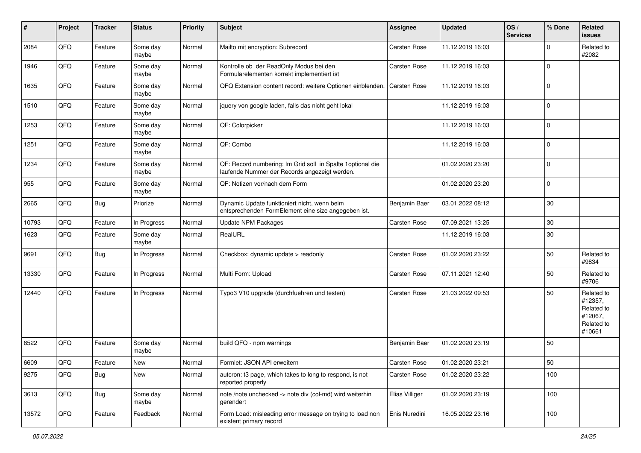| #     | Project | <b>Tracker</b> | <b>Status</b>     | <b>Priority</b> | <b>Subject</b>                                                                                               | <b>Assignee</b>     | <b>Updated</b>   | OS/<br><b>Services</b> | % Done      | Related<br><b>issues</b>                                               |
|-------|---------|----------------|-------------------|-----------------|--------------------------------------------------------------------------------------------------------------|---------------------|------------------|------------------------|-------------|------------------------------------------------------------------------|
| 2084  | QFQ     | Feature        | Some day<br>maybe | Normal          | Mailto mit encryption: Subrecord                                                                             | Carsten Rose        | 11.12.2019 16:03 |                        | $\Omega$    | Related to<br>#2082                                                    |
| 1946  | QFQ     | Feature        | Some day<br>maybe | Normal          | Kontrolle ob der ReadOnly Modus bei den<br>Formularelementen korrekt implementiert ist                       | <b>Carsten Rose</b> | 11.12.2019 16:03 |                        | $\Omega$    |                                                                        |
| 1635  | QFQ     | Feature        | Some day<br>maybe | Normal          | QFQ Extension content record: weitere Optionen einblenden.                                                   | <b>Carsten Rose</b> | 11.12.2019 16:03 |                        | $\Omega$    |                                                                        |
| 1510  | QFQ     | Feature        | Some day<br>maybe | Normal          | jquery von google laden, falls das nicht geht lokal                                                          |                     | 11.12.2019 16:03 |                        | 0           |                                                                        |
| 1253  | QFQ     | Feature        | Some day<br>maybe | Normal          | QF: Colorpicker                                                                                              |                     | 11.12.2019 16:03 |                        | $\Omega$    |                                                                        |
| 1251  | QFQ     | Feature        | Some day<br>maybe | Normal          | QF: Combo                                                                                                    |                     | 11.12.2019 16:03 |                        | $\Omega$    |                                                                        |
| 1234  | QFQ     | Feature        | Some day<br>maybe | Normal          | QF: Record numbering: Im Grid soll in Spalte 1 optional die<br>laufende Nummer der Records angezeigt werden. |                     | 01.02.2020 23:20 |                        | $\Omega$    |                                                                        |
| 955   | QFQ     | Feature        | Some day<br>maybe | Normal          | QF: Notizen vor/nach dem Form                                                                                |                     | 01.02.2020 23:20 |                        | $\mathbf 0$ |                                                                        |
| 2665  | QFQ     | Bug            | Priorize          | Normal          | Dynamic Update funktioniert nicht, wenn beim<br>entsprechenden FormElement eine size angegeben ist.          | Benjamin Baer       | 03.01.2022 08:12 |                        | $30\,$      |                                                                        |
| 10793 | QFQ     | Feature        | In Progress       | Normal          | <b>Update NPM Packages</b>                                                                                   | <b>Carsten Rose</b> | 07.09.2021 13:25 |                        | 30          |                                                                        |
| 1623  | QFQ     | Feature        | Some day<br>maybe | Normal          | RealURL                                                                                                      |                     | 11.12.2019 16:03 |                        | 30          |                                                                        |
| 9691  | QFQ     | Bug            | In Progress       | Normal          | Checkbox: dynamic update > readonly                                                                          | Carsten Rose        | 01.02.2020 23:22 |                        | 50          | Related to<br>#9834                                                    |
| 13330 | QFQ     | Feature        | In Progress       | Normal          | Multi Form: Upload                                                                                           | <b>Carsten Rose</b> | 07.11.2021 12:40 |                        | 50          | Related to<br>#9706                                                    |
| 12440 | QFQ     | Feature        | In Progress       | Normal          | Typo3 V10 upgrade (durchfuehren und testen)                                                                  | <b>Carsten Rose</b> | 21.03.2022 09:53 |                        | 50          | Related to<br>#12357,<br>Related to<br>#12067,<br>Related to<br>#10661 |
| 8522  | QFQ     | Feature        | Some day<br>maybe | Normal          | build QFQ - npm warnings                                                                                     | Benjamin Baer       | 01.02.2020 23:19 |                        | 50          |                                                                        |
| 6609  | QFG     | Feature        | New               | Normal          | Formlet: JSON API erweitern                                                                                  | Carsten Rose        | 01.02.2020 23:21 |                        | 50          |                                                                        |
| 9275  | QFQ     | <b>Bug</b>     | New               | Normal          | autcron: t3 page, which takes to long to respond, is not<br>reported properly                                | <b>Carsten Rose</b> | 01.02.2020 23:22 |                        | 100         |                                                                        |
| 3613  | QFQ     | <b>Bug</b>     | Some day<br>maybe | Normal          | note /note unchecked -> note div (col-md) wird weiterhin<br>gerendert                                        | Elias Villiger      | 01.02.2020 23:19 |                        | 100         |                                                                        |
| 13572 | QFQ     | Feature        | Feedback          | Normal          | Form Load: misleading error message on trying to load non<br>existent primary record                         | Enis Nuredini       | 16.05.2022 23:16 |                        | 100         |                                                                        |